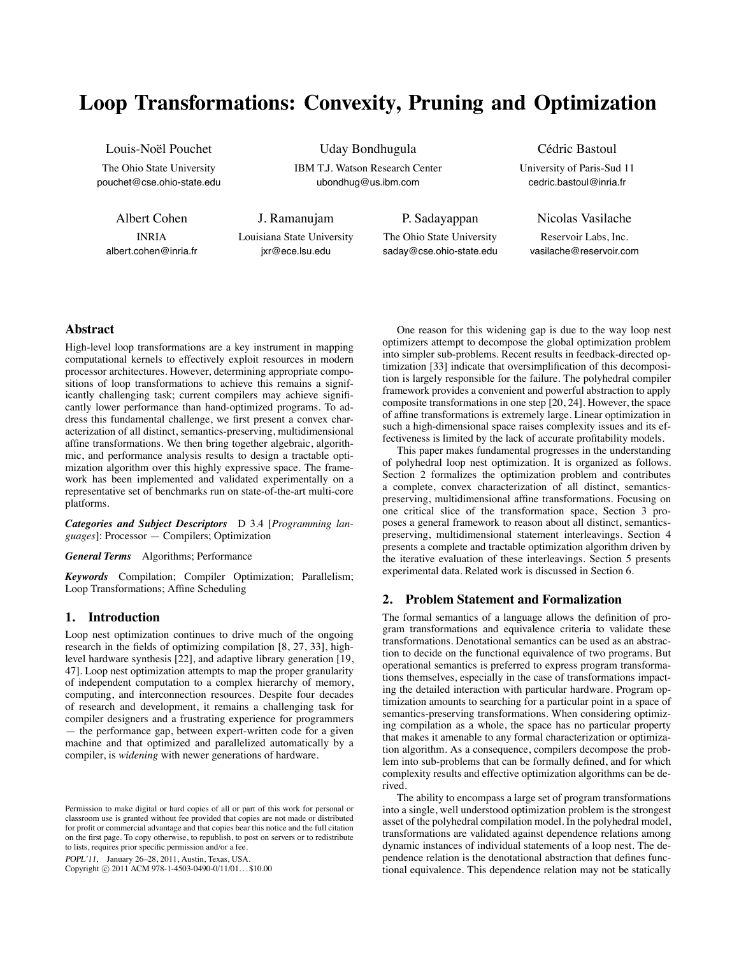# **Loop Transformations: Convexity, Pruning and Optimization**

Louis-Noël Pouchet

The Ohio State University pouchet@cse.ohio-state.edu

Albert Cohen INRIA albert.cohen@inria.fr Uday Bondhugula

IBM T.J. Watson Research Center ubondhug@us.ibm.com

J. Ramanujam Louisiana State University jxr@ece.lsu.edu

P. Sadayappan

The Ohio State University saday@cse.ohio-state.edu

Cédric Bastoul University of Paris-Sud 11 cedric.bastoul@inria.fr

Nicolas Vasilache

Reservoir Labs, Inc. vasilache@reservoir.com

# **Abstract**

High-level loop transformations are a key instrument in mapping computational kernels to effectively exploit resources in modern processor architectures. However, determining appropriate compositions of loop transformations to achieve this remains a significantly challenging task; current compilers may achieve significantly lower performance than hand-optimized programs. To address this fundamental challenge, we first present a convex characterization of all distinct, semantics-preserving, multidimensional affine transformations. We then bring together algebraic, algorithmic, and performance analysis results to design a tractable optimization algorithm over this highly expressive space. The framework has been implemented and validated experimentally on a representative set of benchmarks run on state-of-the-art multi-core platforms.

*Categories and Subject Descriptors* D 3.4 [*Programming languages*]: Processor — Compilers; Optimization

*General Terms* Algorithms; Performance

*Keywords* Compilation; Compiler Optimization; Parallelism; Loop Transformations; Affine Scheduling

# **1. Introduction**

Loop nest optimization continues to drive much of the ongoing research in the fields of optimizing compilation [8, 27, 33], highlevel hardware synthesis [22], and adaptive library generation [19, 47]. Loop nest optimization attempts to map the proper granularity of independent computation to a complex hierarchy of memory, computing, and interconnection resources. Despite four decades of research and development, it remains a challenging task for compiler designers and a frustrating experience for programmers — the performance gap, between expert-written code for a given machine and that optimized and parallelized automatically by a compiler, is *widening* with newer generations of hardware.

POPL'11, January 26–28, 2011, Austin, Texas, USA.

Copyright © 2011 ACM 978-1-4503-0490-0/11/01... \$10.00

One reason for this widening gap is due to the way loop nest optimizers attempt to decompose the global optimization problem into simpler sub-problems. Recent results in feedback-directed optimization [33] indicate that oversimplification of this decomposition is largely responsible for the failure. The polyhedral compiler framework provides a convenient and powerful abstraction to apply composite transformations in one step [20, 24]. However, the space of affine transformations is extremely large. Linear optimization in such a high-dimensional space raises complexity issues and its effectiveness is limited by the lack of accurate profitability models.

This paper makes fundamental progresses in the understanding of polyhedral loop nest optimization. It is organized as follows. Section 2 formalizes the optimization problem and contributes a complete, convex characterization of all distinct, semanticspreserving, multidimensional affine transformations. Focusing on one critical slice of the transformation space, Section 3 proposes a general framework to reason about all distinct, semanticspreserving, multidimensional statement interleavings. Section 4 presents a complete and tractable optimization algorithm driven by the iterative evaluation of these interleavings. Section 5 presents experimental data. Related work is discussed in Section 6.

# **2. Problem Statement and Formalization**

The formal semantics of a language allows the definition of program transformations and equivalence criteria to validate these transformations. Denotational semantics can be used as an abstraction to decide on the functional equivalence of two programs. But operational semantics is preferred to express program transformations themselves, especially in the case of transformations impacting the detailed interaction with particular hardware. Program optimization amounts to searching for a particular point in a space of semantics-preserving transformations. When considering optimizing compilation as a whole, the space has no particular property that makes it amenable to any formal characterization or optimization algorithm. As a consequence, compilers decompose the problem into sub-problems that can be formally defined, and for which complexity results and effective optimization algorithms can be derived.

The ability to encompass a large set of program transformations into a single, well understood optimization problem is the strongest asset of the polyhedral compilation model. In the polyhedral model, transformations are validated against dependence relations among dynamic instances of individual statements of a loop nest. The dependence relation is the denotational abstraction that defines functional equivalence. This dependence relation may not be statically

Permission to make digital or hard copies of all or part of this work for personal or classroom use is granted without fee provided that copies are not made or distributed for profit or commercial advantage and that copies bear this notice and the full citation on the first page. To copy otherwise, to republish, to post on servers or to redistribute to lists, requires prior specific permission and/or a fee.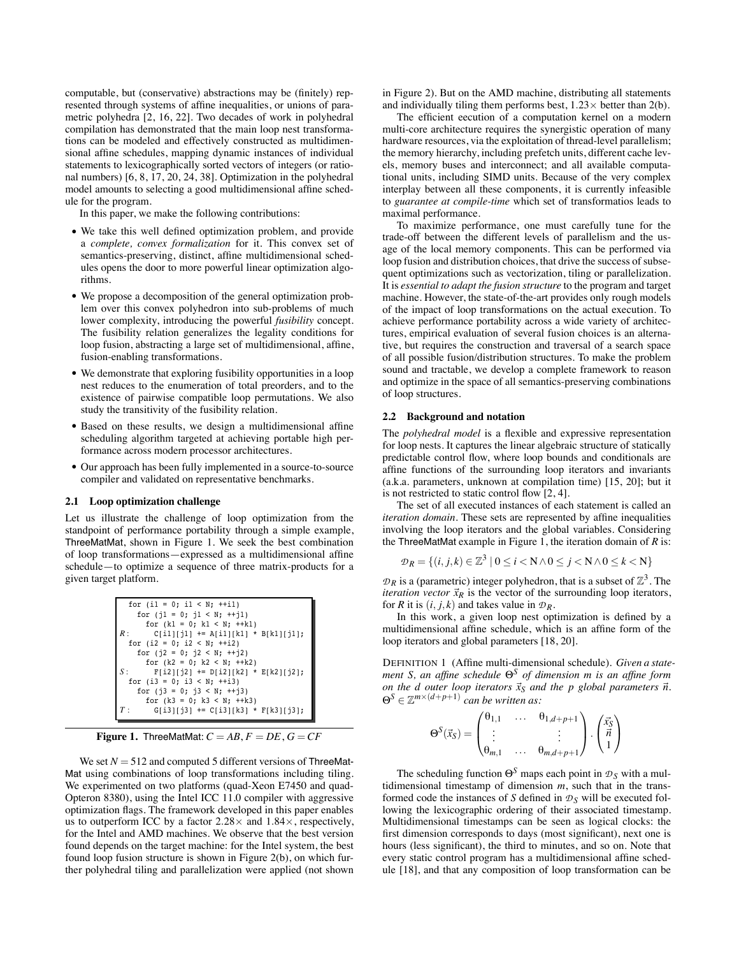computable, but (conservative) abstractions may be (finitely) represented through systems of affine inequalities, or unions of parametric polyhedra [2, 16, 22]. Two decades of work in polyhedral compilation has demonstrated that the main loop nest transformations can be modeled and effectively constructed as multidimensional affine schedules, mapping dynamic instances of individual statements to lexicographically sorted vectors of integers (or rational numbers) [6, 8, 17, 20, 24, 38]. Optimization in the polyhedral model amounts to selecting a good multidimensional affine schedule for the program.

In this paper, we make the following contributions:

- We take this well defined optimization problem, and provide a *complete, convex formalization* for it. This convex set of semantics-preserving, distinct, affine multidimensional schedules opens the door to more powerful linear optimization algorithms.
- We propose a decomposition of the general optimization problem over this convex polyhedron into sub-problems of much lower complexity, introducing the powerful *fusibility* concept. The fusibility relation generalizes the legality conditions for loop fusion, abstracting a large set of multidimensional, affine, fusion-enabling transformations.
- We demonstrate that exploring fusibility opportunities in a loop nest reduces to the enumeration of total preorders, and to the existence of pairwise compatible loop permutations. We also study the transitivity of the fusibility relation.
- Based on these results, we design a multidimensional affine scheduling algorithm targeted at achieving portable high performance across modern processor architectures.
- Our approach has been fully implemented in a source-to-source compiler and validated on representative benchmarks.

#### **2.1 Loop optimization challenge**

Let us illustrate the challenge of loop optimization from the standpoint of performance portability through a simple example, ThreeMatMat, shown in Figure 1. We seek the best combination of loop transformations—expressed as a multidimensional affine schedule—to optimize a sequence of three matrix-products for a given target platform.

| for $(ii = 0; i1 < N; ++i1)$                           |
|--------------------------------------------------------|
| for $(i1 = 0; j1 < N; ++j1)$                           |
| for $(k1 = 0; k1 < N; ++k1)$                           |
| $C[i1][j1]$ += A[i1][k1] * B[k1][j1];<br>R:            |
| for $(i2 = 0; i2 < N; ++i2)$                           |
| for $(i2 = 0; i2 < N; ++i2)$                           |
| for $(k2 = 0; k2 < N; ++k2)$                           |
| $F[i2][j2]$ += $D[i2][k2]$ * $E[k2][j2]$ ;<br>$S$ :    |
| for $(i3 = 0; i3 < N; ++i3)$                           |
| for $(j3 = 0; j3 < N; ++j3)$                           |
| for $(k3 = 0; k3 < N; ++k3)$                           |
| $G[i3][j3]$ += $C[i3][k3]$ * $F[k3][j3]$ ;<br>$T\cdot$ |

**Figure 1.** ThreeMatMat:  $C = AB$ ,  $F = DE$ ,  $G = CF$ 

We set  $N = 512$  and computed 5 different versions of ThreeMat-Mat using combinations of loop transformations including tiling. We experimented on two platforms (quad-Xeon E7450 and quad-Opteron 8380), using the Intel ICC 11.0 compiler with aggressive optimization flags. The framework developed in this paper enables us to outperform ICC by a factor  $2.28 \times$  and  $1.84 \times$ , respectively, for the Intel and AMD machines. We observe that the best version found depends on the target machine: for the Intel system, the best found loop fusion structure is shown in Figure 2(b), on which further polyhedral tiling and parallelization were applied (not shown in Figure 2). But on the AMD machine, distributing all statements and individually tiling them performs best,  $1.23 \times$  better than 2(b).

The efficient eecution of a computation kernel on a modern multi-core architecture requires the synergistic operation of many hardware resources, via the exploitation of thread-level parallelism; the memory hierarchy, including prefetch units, different cache levels, memory buses and interconnect; and all available computational units, including SIMD units. Because of the very complex interplay between all these components, it is currently infeasible to *guarantee at compile-time* which set of transformatios leads to maximal performance.

To maximize performance, one must carefully tune for the trade-off between the different levels of parallelism and the usage of the local memory components. This can be performed via loop fusion and distribution choices, that drive the success of subsequent optimizations such as vectorization, tiling or parallelization. It is *essential to adapt the fusion structure* to the program and target machine. However, the state-of-the-art provides only rough models of the impact of loop transformations on the actual execution. To achieve performance portability across a wide variety of architectures, empirical evaluation of several fusion choices is an alternative, but requires the construction and traversal of a search space of all possible fusion/distribution structures. To make the problem sound and tractable, we develop a complete framework to reason and optimize in the space of all semantics-preserving combinations of loop structures.

## **2.2 Background and notation**

The *polyhedral model* is a flexible and expressive representation for loop nests. It captures the linear algebraic structure of statically predictable control flow, where loop bounds and conditionals are affine functions of the surrounding loop iterators and invariants (a.k.a. parameters, unknown at compilation time) [15, 20]; but it is not restricted to static control flow [2, 4].

The set of all executed instances of each statement is called an *iteration domain*. These sets are represented by affine inequalities involving the loop iterators and the global variables. Considering the ThreeMatMat example in Figure 1, the iteration domain of *R* is:

$$
\mathcal{D}_R = \{(i, j, k) \in \mathbb{Z}^3 \mid 0 \le i < N \land 0 \le j < N \land 0 \le k < N\}
$$

 $\mathcal{D}_R$  is a (parametric) integer polyhedron, that is a subset of  $\mathbb{Z}^3$ . The *iteration vector*  $\vec{x}_R$  is the vector of the surrounding loop iterators, for *R* it is  $(i, j, k)$  and takes value in  $\mathcal{D}_R$ .

In this work, a given loop nest optimization is defined by a multidimensional affine schedule, which is an affine form of the loop iterators and global parameters [18, 20].

DEFINITION 1 (Affine multi-dimensional schedule). *Given a statement S, an affine schedule* Θ*<sup>S</sup> of dimension m is an affine form on the d outer loop iterators*  $\vec{x}_S$  *and the p global parameters*  $\vec{n}$ *.*  $\Theta^S \in \mathbb{Z}^{m \times (d+p+1)}$  *can be written as:* 

$$
\Theta^{S}(\vec{x}_{S}) = \begin{pmatrix} \theta_{1,1} & \dots & \theta_{1,d+p+1} \\ \vdots & & \vdots \\ \theta_{m,1} & \dots & \theta_{m,d+p+1} \end{pmatrix} \cdot \begin{pmatrix} \vec{x}_{S} \\ \vec{n} \\ 1 \end{pmatrix}
$$

The scheduling function  $\Theta^S$  maps each point in  $\mathcal{D}_S$  with a multidimensional timestamp of dimension *m*, such that in the transformed code the instances of  $S$  defined in  $\mathcal{D}_S$  will be executed following the lexicographic ordering of their associated timestamp. Multidimensional timestamps can be seen as logical clocks: the first dimension corresponds to days (most significant), next one is hours (less significant), the third to minutes, and so on. Note that every static control program has a multidimensional affine schedule [18], and that any composition of loop transformation can be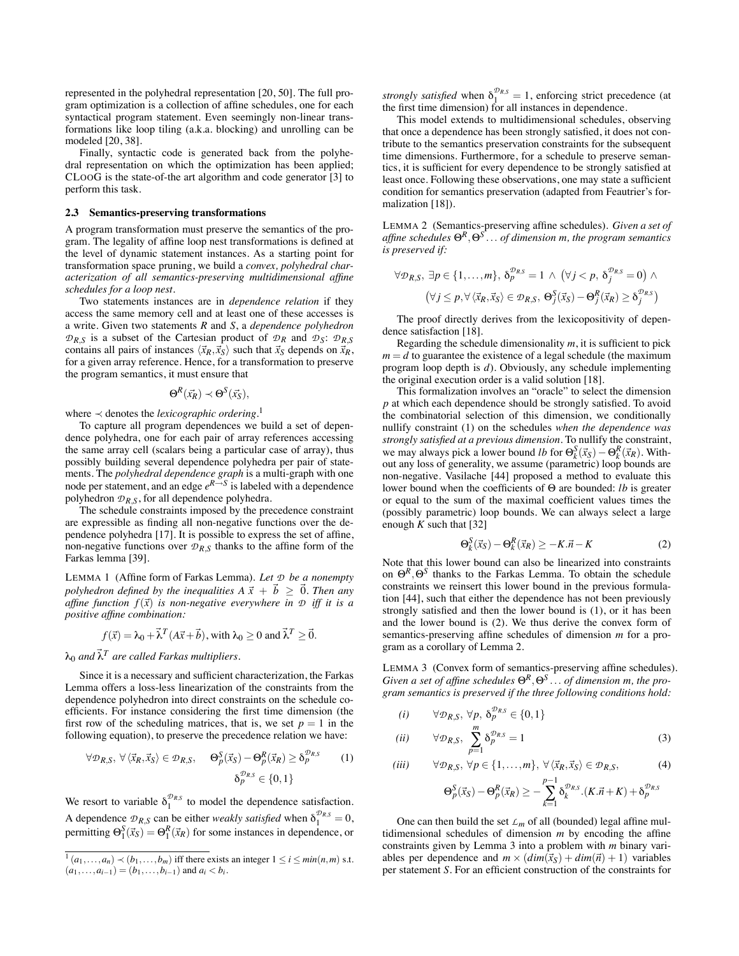represented in the polyhedral representation [20, 50]. The full program optimization is a collection of affine schedules, one for each syntactical program statement. Even seemingly non-linear transformations like loop tiling (a.k.a. blocking) and unrolling can be modeled [20, 38].

Finally, syntactic code is generated back from the polyhedral representation on which the optimization has been applied; CLOOG is the state-of-the art algorithm and code generator [3] to perform this task.

## **2.3 Semantics-preserving transformations**

A program transformation must preserve the semantics of the program. The legality of affine loop nest transformations is defined at the level of dynamic statement instances. As a starting point for transformation space pruning, we build a *convex, polyhedral characterization of all semantics-preserving multidimensional affine schedules for a loop nest*.

Two statements instances are in *dependence relation* if they access the same memory cell and at least one of these accesses is a write. Given two statements *R* and *S*, a *dependence polyhedron*  $D_{RS}$  is a subset of the Cartesian product of  $D_R$  and  $D_S$ :  $D_{RS}$ contains all pairs of instances  $\langle \vec{x}_R, \vec{x}_S \rangle$  such that  $\vec{x}_S$  depends on  $\vec{x}_R$ , for a given array reference. Hence, for a transformation to preserve the program semantics, it must ensure that

$$
\Theta^R(\vec{x_R}) \prec \Theta^S(\vec{x_S}),
$$

where ≺ denotes the *lexicographic ordering*. 1

To capture all program dependences we build a set of dependence polyhedra, one for each pair of array references accessing the same array cell (scalars being a particular case of array), thus possibly building several dependence polyhedra per pair of statements. The *polyhedral dependence graph* is a multi-graph with one node per statement, and an edge  $e^{R \to S}$  is labeled with a dependence polyhedron  $\mathcal{D}_{RS}$ , for all dependence polyhedra.

The schedule constraints imposed by the precedence constraint are expressible as finding all non-negative functions over the dependence polyhedra [17]. It is possible to express the set of affine, non-negative functions over  $\mathcal{D}_{RS}$  thanks to the affine form of the Farkas lemma [39].

LEMMA 1 (Affine form of Farkas Lemma). *Let D be a nonempty polyhedron defined by the inequalities*  $A \times \overrightarrow{x} + \overrightarrow{b} \geq 0$ *. Then any affine function*  $f(\vec{x})$  *is non-negative everywhere in*  $D$  *iff it is a positive affine combination:*

$$
f(\vec{x}) = \lambda_0 + \vec{\lambda}^T (A\vec{x} + \vec{b}),
$$
 with  $\lambda_0 \ge 0$  and  $\vec{\lambda}^T \ge \vec{0}.$ 

 $\lambda_0$  and  $\vec{\lambda}^T$  are called Farkas multipliers.

Since it is a necessary and sufficient characterization, the Farkas Lemma offers a loss-less linearization of the constraints from the dependence polyhedron into direct constraints on the schedule coefficients. For instance considering the first time dimension (the first row of the scheduling matrices, that is, we set  $p = 1$  in the following equation), to preserve the precedence relation we have:

$$
\forall \mathcal{D}_{R,S}, \ \forall \langle \vec{x}_R, \vec{x}_S \rangle \in \mathcal{D}_{R,S}, \quad \Theta_p^S(\vec{x}_S) - \Theta_p^R(\vec{x}_R) \ge \delta_p^{\mathcal{D}_{R,S}} \tag{1}
$$
\n
$$
\delta_p^{\mathcal{D}_{R,S}} \in \{0, 1\}
$$

We resort to variable  $\delta_1^{\mathcal{D}_{R,S}}$  to model the dependence satisfaction. A dependence  $\mathcal{D}_{R,S}$  can be either *weakly satisfied* when  $\delta_1^{\mathcal{D}_{R,S}} = 0$ , permitting  $\Theta_1^S(\vec{x}_S) = \Theta_1^R(\vec{x}_R)$  for some instances in dependence, or

*strongly satisfied* when  $\delta_1^{\mathcal{D}_{R,S}} = 1$ , enforcing strict precedence (at the first time dimension) for all instances in dependence.

This model extends to multidimensional schedules, observing that once a dependence has been strongly satisfied, it does not contribute to the semantics preservation constraints for the subsequent time dimensions. Furthermore, for a schedule to preserve semantics, it is sufficient for every dependence to be strongly satisfied at least once. Following these observations, one may state a sufficient condition for semantics preservation (adapted from Feautrier's formalization [18]).

LEMMA 2 (Semantics-preserving affine schedules). *Given a set of affine schedules* Θ*R*,Θ*<sup>S</sup>* ... *of dimension m, the program semantics is preserved if:*

$$
\forall \mathcal{D}_{R,S}, \exists p \in \{1,\ldots,m\}, \ \delta_p^{\mathcal{D}_{R,S}} = 1 \ \wedge \ \left(\forall j < p, \ \delta_j^{\mathcal{D}_{R,S}} = 0\right) \wedge \\ \left(\forall j \leq p, \forall \langle \vec{x}_R, \vec{x}_S \rangle \in \mathcal{D}_{R,S}, \ \Theta_j^S(\vec{x}_S) - \Theta_j^R(\vec{x}_R) \geq \delta_j^{\mathcal{D}_{R,S}}\right)
$$

The proof directly derives from the lexicopositivity of dependence satisfaction [18].

Regarding the schedule dimensionality *m*, it is sufficient to pick  $m = d$  to guarantee the existence of a legal schedule (the maximum program loop depth is *d*). Obviously, any schedule implementing the original execution order is a valid solution [18].

This formalization involves an "oracle" to select the dimension *p* at which each dependence should be strongly satisfied. To avoid the combinatorial selection of this dimension, we conditionally nullify constraint (1) on the schedules *when the dependence was strongly satisfied at a previous dimension*. To nullify the constraint, we may always pick a lower bound *lb* for  $\Theta_k^S(\vec{x}_S) - \Theta_k^R(\vec{x}_R)$ . Without any loss of generality, we assume (parametric) loop bounds are non-negative. Vasilache [44] proposed a method to evaluate this lower bound when the coefficients of Θ are bounded: *lb* is greater or equal to the sum of the maximal coefficient values times the (possibly parametric) loop bounds. We can always select a large enough *K* such that [32]

$$
\Theta_k^S(\vec{x}_S) - \Theta_k^R(\vec{x}_R) \ge -K \cdot \vec{n} - K \tag{2}
$$

Note that this lower bound can also be linearized into constraints on Θ*R*,Θ*<sup>S</sup>* thanks to the Farkas Lemma. To obtain the schedule constraints we reinsert this lower bound in the previous formulation [44], such that either the dependence has not been previously strongly satisfied and then the lower bound is (1), or it has been and the lower bound is (2). We thus derive the convex form of semantics-preserving affine schedules of dimension *m* for a program as a corollary of Lemma 2.

LEMMA 3 (Convex form of semantics-preserving affine schedules). *Given a set of affine schedules* Θ*R*,Θ*<sup>S</sup>* ... *of dimension m, the program semantics is preserved if the three following conditions hold:*

*D*  $\overline{D}$ 

$$
(i) \qquad \forall \mathcal{D}_{R,S}, \,\forall p, \,\delta_p^{\mathcal{D}_{R,S}} \in \{0,1\}
$$
\n
$$
(ii) \qquad \forall \mathcal{D}_{R,S} \quad \mathbf{m} \quad \delta_p^{\mathcal{D}_{R,S}} = 1 \tag{3}
$$

$$
(ii) \qquad \forall \mathcal{D}_{R,S}, \ \sum_{p=1}^{\infty} \delta_p^{\mathcal{D}_{RS}} = 1 \tag{3}
$$

$$
(iii) \qquad \forall \mathcal{D}_{R,S}, \,\forall p \in \{1,\ldots,m\}, \,\forall \langle \vec{x}_R, \vec{x}_S \rangle \in \mathcal{D}_{R,S},\tag{4}
$$

$$
\Theta_p^S(\vec{x}_S) - \Theta_p^R(\vec{x}_R) \ge -\sum_{k=1}^{p-1} \delta_k^{\mathcal{D}_{R,S}} (K.\vec{n} + K) + \delta_p^{\mathcal{D}_{R,S}}
$$

One can then build the set  $L_m$  of all (bounded) legal affine multidimensional schedules of dimension *m* by encoding the affine constraints given by Lemma 3 into a problem with *m* binary variables per dependence and  $m \times (dim(\vec{x}_S) + dim(\vec{n}) + 1)$  variables per statement *S*. For an efficient construction of the constraints for

 $1(a_1,...,a_n) \prec (b_1,...,b_m)$  iff there exists an integer  $1 \le i \le min(n,m)$  s.t.  $(a_1, \ldots, a_{i-1}) = (b_1, \ldots, b_{i-1})$  and  $a_i < b_i$ .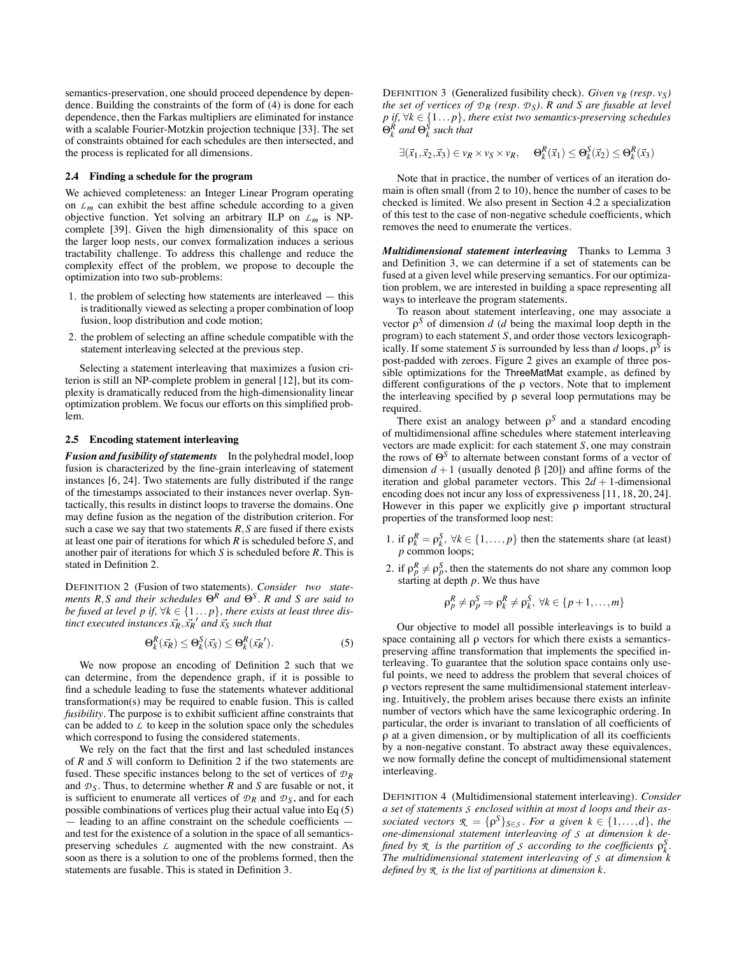semantics-preservation, one should proceed dependence by dependence. Building the constraints of the form of (4) is done for each dependence, then the Farkas multipliers are eliminated for instance with a scalable Fourier-Motzkin projection technique [33]. The set of constraints obtained for each schedules are then intersected, and the process is replicated for all dimensions.

## **2.4 Finding a schedule for the program**

We achieved completeness: an Integer Linear Program operating on  $L_m$  can exhibit the best affine schedule according to a given objective function. Yet solving an arbitrary ILP on *L<sup>m</sup>* is NPcomplete [39]. Given the high dimensionality of this space on the larger loop nests, our convex formalization induces a serious tractability challenge. To address this challenge and reduce the complexity effect of the problem, we propose to decouple the optimization into two sub-problems:

- 1. the problem of selecting how statements are interleaved this is traditionally viewed as selecting a proper combination of loop fusion, loop distribution and code motion;
- 2. the problem of selecting an affine schedule compatible with the statement interleaving selected at the previous step.

Selecting a statement interleaving that maximizes a fusion criterion is still an NP-complete problem in general [12], but its complexity is dramatically reduced from the high-dimensionality linear optimization problem. We focus our efforts on this simplified problem.

## **2.5 Encoding statement interleaving**

*Fusion and fusibility of statements* In the polyhedral model, loop fusion is characterized by the fine-grain interleaving of statement instances [6, 24]. Two statements are fully distributed if the range of the timestamps associated to their instances never overlap. Syntactically, this results in distinct loops to traverse the domains. One may define fusion as the negation of the distribution criterion. For such a case we say that two statements *R*,*S* are fused if there exists at least one pair of iterations for which *R* is scheduled before *S*, and another pair of iterations for which *S* is scheduled before *R*. This is stated in Definition 2.

DEFINITION 2 (Fusion of two statements). *Consider two statements R*,*S and their schedules* Θ*<sup>R</sup> and* Θ*S. R and S are said to be fused at level p if,*  $\forall k \in \{1 \dots p\}$ , there exists at least three dis*tinct executed instances*  $\vec{x_R}, \vec{x_R}^\prime$  *and*  $\vec{x_S}$  *such that* 

$$
\Theta_k^R(\vec{x_R}) \le \Theta_k^S(\vec{x_S}) \le \Theta_k^R(\vec{x_R}'). \tag{5}
$$

We now propose an encoding of Definition 2 such that we can determine, from the dependence graph, if it is possible to find a schedule leading to fuse the statements whatever additional transformation(s) may be required to enable fusion. This is called *fusibility*. The purpose is to exhibit sufficient affine constraints that can be added to  $\angle$  to keep in the solution space only the schedules which correspond to fusing the considered statements.

We rely on the fact that the first and last scheduled instances of *R* and *S* will conform to Definition 2 if the two statements are fused. These specific instances belong to the set of vertices of  $\mathcal{D}_R$ and *DS*. Thus, to determine whether *R* and *S* are fusable or not, it is sufficient to enumerate all vertices of  $\mathcal{D}_R$  and  $\mathcal{D}_S$ , and for each possible combinations of vertices plug their actual value into Eq (5) — leading to an affine constraint on the schedule coefficients and test for the existence of a solution in the space of all semanticspreserving schedules *L* augmented with the new constraint. As soon as there is a solution to one of the problems formed, then the statements are fusable. This is stated in Definition 3.

DEFINITION 3 (Generalized fusibility check). *Given v<sub>R</sub>* (resp. *v<sub>S</sub>*) *the set of vertices of*  $D_R$  (resp.  $D_S$ ). R and S are fusable at level  $p$  *if,*  $\forall k \in \{1 \dots p\}$ *, there exist two semantics-preserving schedules*  $\Theta_k^R$  and  $\Theta_k^S$  such that

 $\exists (\vec{x}_1, \vec{x}_2, \vec{x}_3) \in v_R \times v_S \times v_R, \quad \Theta_k^R(\vec{x}_1) \leq \Theta_k^S(\vec{x}_2) \leq \Theta_k^R(\vec{x}_3)$ 

Note that in practice, the number of vertices of an iteration domain is often small (from 2 to 10), hence the number of cases to be checked is limited. We also present in Section 4.2 a specialization of this test to the case of non-negative schedule coefficients, which removes the need to enumerate the vertices.

*Multidimensional statement interleaving* Thanks to Lemma 3 and Definition 3, we can determine if a set of statements can be fused at a given level while preserving semantics. For our optimization problem, we are interested in building a space representing all ways to interleave the program statements.

To reason about statement interleaving, one may associate a vector  $ρ<sup>S</sup>$  of dimension *d* (*d* being the maximal loop depth in the program) to each statement *S*, and order those vectors lexicographically. If some statement *S* is surrounded by less than *d* loops,  $\rho^S$  is post-padded with zeroes. Figure 2 gives an example of three possible optimizations for the ThreeMatMat example, as defined by different configurations of the ρ vectors. Note that to implement the interleaving specified by  $ρ$  several loop permutations may be required.

There exist an analogy between  $\rho^S$  and a standard encoding of multidimensional affine schedules where statement interleaving vectors are made explicit: for each statement *S*, one may constrain the rows of Θ*<sup>S</sup>* to alternate between constant forms of a vector of dimension  $d + 1$  (usually denoted β [20]) and affine forms of the iteration and global parameter vectors. This  $2d + 1$ -dimensional encoding does not incur any loss of expressiveness [11, 18, 20, 24]. However in this paper we explicitly give ρ important structural properties of the transformed loop nest:

- 1. if  $\rho_k^R = \rho_k^S$ ,  $\forall k \in \{1, ..., p\}$  then the statements share (at least) *p* common loops;
- 2. if  $\rho_p^R \neq \rho_p^S$ , then the statements do not share any common loop starting at depth *p*. We thus have

$$
\rho_p^R \neq \rho_p^S \Rightarrow \rho_k^R \neq \rho_k^S, \ \forall k \in \{p+1,\dots,m\}
$$

Our objective to model all possible interleavings is to build a space containing all ρ vectors for which there exists a semanticspreserving affine transformation that implements the specified interleaving. To guarantee that the solution space contains only useful points, we need to address the problem that several choices of ρ vectors represent the same multidimensional statement interleaving. Intuitively, the problem arises because there exists an infinite number of vectors which have the same lexicographic ordering. In particular, the order is invariant to translation of all coefficients of ρ at a given dimension, or by multiplication of all its coefficients by a non-negative constant. To abstract away these equivalences, we now formally define the concept of multidimensional statement interleaving.

DEFINITION 4 (Multidimensional statement interleaving). *Consider a set of statements S enclosed within at most d loops and their associated vectors*  $\mathcal{R} = {\rho^S}_{S \in \mathcal{S}}$ *. For a given*  $k \in \{1, ..., d\}$ *, the one-dimensional statement interleaving of S at dimension k defined by*  $\mathcal{R}$  *is the partition of S according to the coefficients*  $\rho_k^S$ . *The multidimensional statement interleaving of S at dimension k defined by R is the list of partitions at dimension k.*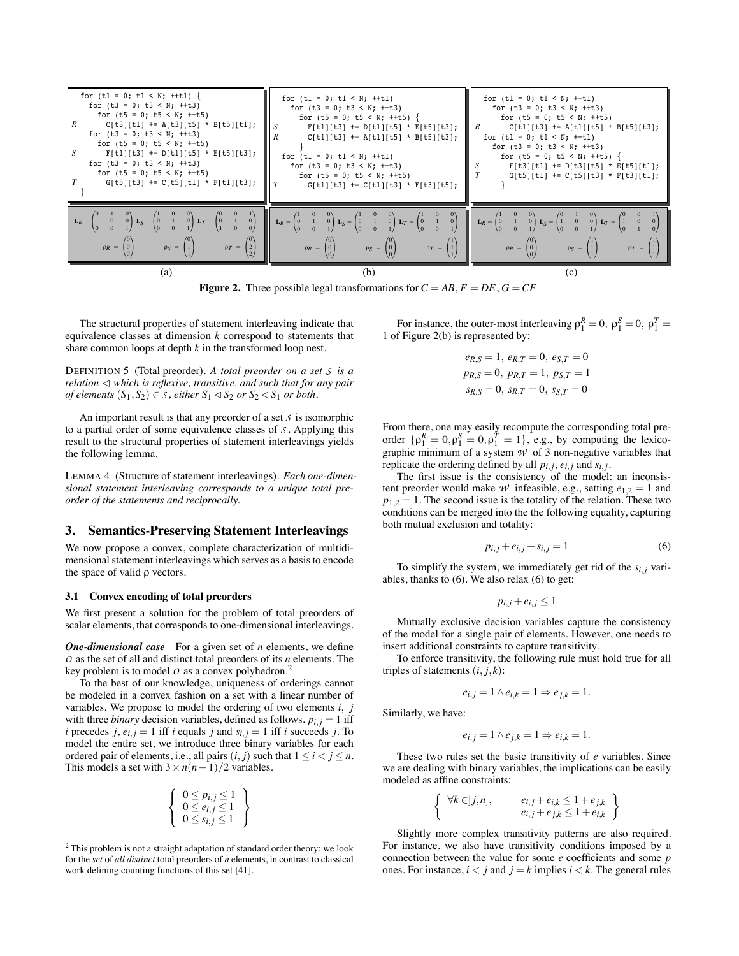

**Figure 2.** Three possible legal transformations for  $C = AB$ ,  $F = DE$ ,  $G = CF$ 

The structural properties of statement interleaving indicate that equivalence classes at dimension *k* correspond to statements that share common loops at depth *k* in the transformed loop nest.

DEFINITION 5 (Total preorder). *A total preorder on a set S is a relation*  $\triangleleft$  *which is reflexive, transitive, and such that for any pair of elements*  $(S_1, S_2) \in S$ , *either*  $S_1 \triangleleft S_2$  *or*  $S_2 \triangleleft S_1$  *or both.* 

An important result is that any preorder of a set *S* is isomorphic to a partial order of some equivalence classes of *S*. Applying this result to the structural properties of statement interleavings yields the following lemma.

LEMMA 4 (Structure of statement interleavings). *Each one-dimensional statement interleaving corresponds to a unique total preorder of the statements and reciprocally.*

# **3. Semantics-Preserving Statement Interleavings**

We now propose a convex, complete characterization of multidimensional statement interleavings which serves as a basis to encode the space of valid ρ vectors.

## **3.1 Convex encoding of total preorders**

We first present a solution for the problem of total preorders of scalar elements, that corresponds to one-dimensional interleavings.

*One-dimensional case* For a given set of *n* elements, we define *O* as the set of all and distinct total preorders of its *n* elements. The key problem is to model  $O$  as a convex polyhedron.<sup>2</sup>

To the best of our knowledge, uniqueness of orderings cannot be modeled in a convex fashion on a set with a linear number of variables. We propose to model the ordering of two elements *i*, *j* with three *binary* decision variables, defined as follows.  $p_{i,j} = 1$  iff *i* precedes *j*,  $e_{i,j} = 1$  iff *i* equals *j* and  $s_{i,j} = 1$  iff *i* succeeds *j*. To model the entire set, we introduce three binary variables for each ordered pair of elements, i.e., all pairs  $(i, j)$  such that  $1 \le i < j \le n$ . This models a set with  $3 \times n(n-1)/2$  variables.

$$
\left\{\n\begin{array}{c}\n0 \le p_{i,j} \le 1 \\
0 \le e_{i,j} \le 1 \\
0 \le s_{i,j} \le 1\n\end{array}\n\right\}
$$

For instance, the outer-most interleaving  $\rho_1^R = 0$ ,  $\rho_1^S = 0$ ,  $\rho_1^T =$ 1 of Figure 2(b) is represented by:

$$
e_{R,S} = 1
$$
,  $e_{R,T} = 0$ ,  $e_{S,T} = 0$   
\n $p_{R,S} = 0$ ,  $p_{R,T} = 1$ ,  $p_{S,T} = 1$   
\n $s_{R,S} = 0$ ,  $s_{R,T} = 0$ ,  $s_{S,T} = 0$ 

From there, one may easily recompute the corresponding total preorder  $\{\rho_1^R = 0, \rho_1^S = 0, \rho_1^T = 1\}$ , e.g., by computing the lexicographic minimum of a system  $W$  of 3 non-negative variables that replicate the ordering defined by all  $p_{i,j}$ ,  $e_{i,j}$  and  $s_{i,j}$ .

The first issue is the consistency of the model: an inconsistent preorder would make  $W$  infeasible, e.g., setting  $e_{1,2} = 1$  and  $p_{1,2} = 1$ . The second issue is the totality of the relation. These two conditions can be merged into the the following equality, capturing both mutual exclusion and totality:

$$
p_{i,j} + e_{i,j} + s_{i,j} = 1
$$
 (6)

To simplify the system, we immediately get rid of the *si*, *j* variables, thanks to (6). We also relax (6) to get:

$$
p_{i,j}+e_{i,j}\leq 1
$$

Mutually exclusive decision variables capture the consistency of the model for a single pair of elements. However, one needs to insert additional constraints to capture transitivity.

To enforce transitivity, the following rule must hold true for all triples of statements  $(i, j, k)$ :

$$
e_{i,j} = 1 \wedge e_{i,k} = 1 \Rightarrow e_{j,k} = 1.
$$

Similarly, we have:

$$
e_{i,j} = 1 \wedge e_{j,k} = 1 \Rightarrow e_{i,k} = 1.
$$

These two rules set the basic transitivity of *e* variables. Since we are dealing with binary variables, the implications can be easily modeled as affine constraints:

$$
\left\{\n\begin{array}{ll}\n\forall k \in ]j,n], & e_{i,j} + e_{i,k} \le 1 + e_{j,k} \\
e_{i,j} + e_{j,k} \le 1 + e_{i,k}\n\end{array}\n\right\}
$$

Slightly more complex transitivity patterns are also required. For instance, we also have transitivity conditions imposed by a connection between the value for some *e* coefficients and some *p* ones. For instance,  $i < j$  and  $j = k$  implies  $i < k$ . The general rules

<sup>&</sup>lt;sup>2</sup> This problem is not a straight adaptation of standard order theory: we look for the *set* of *all distinct* total preorders of *n* elements, in contrast to classical work defining counting functions of this set [41].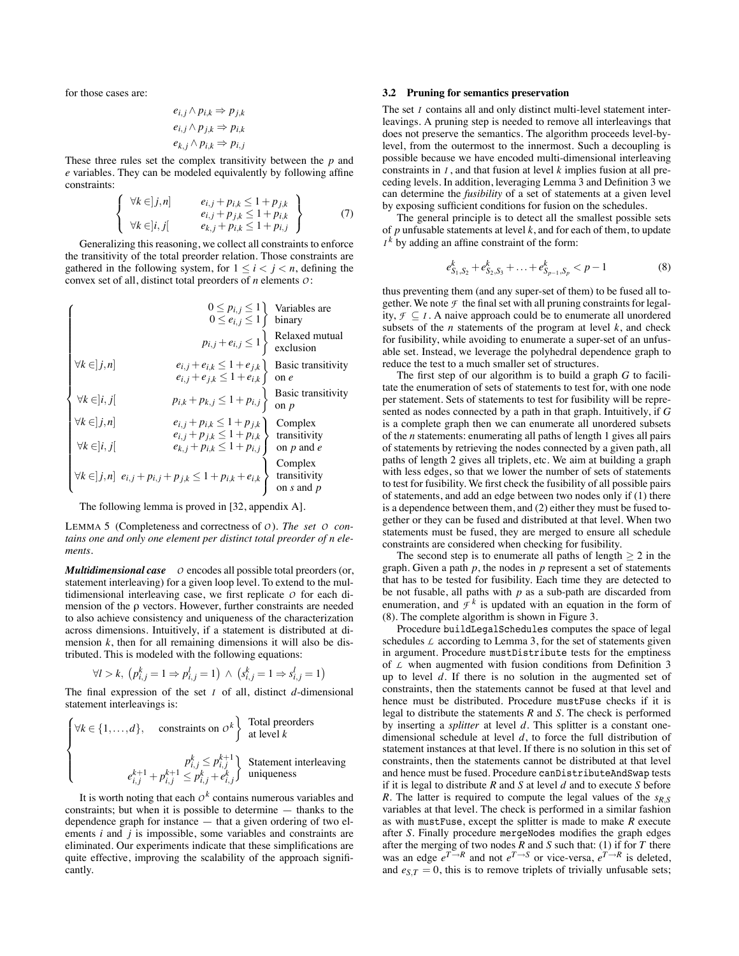for those cases are:

$$
e_{i,j} \wedge p_{i,k} \Rightarrow p_{j,k}
$$

$$
e_{i,j} \wedge p_{j,k} \Rightarrow p_{i,k}
$$

$$
e_{k,j} \wedge p_{i,k} \Rightarrow p_{i,j}
$$

These three rules set the complex transitivity between the *p* and *e* variables. They can be modeled equivalently by following affine constraints:

$$
\left\{\n\begin{array}{ll}\n\forall k \in ]j,n] & e_{i,j} + p_{i,k} \leq 1 + p_{j,k} \\
e_{i,j} + p_{j,k} \leq 1 + p_{i,k} \\
\forall k \in ]i,j[ & e_{k,j} + p_{i,k} \leq 1 + p_{i,j}\n\end{array}\n\right\}
$$
\n(7)

Generalizing this reasoning, we collect all constraints to enforce the transitivity of the total preorder relation. Those constraints are gathered in the following system, for  $1 \leq i \leq j \leq n$ , defining the convex set of all, distinct total preorders of *n* elements *O* :

$$
\begin{cases}\n0 \le p_{i,j} \le 1 \\
0 \le e_{i,j} \le 1\n\end{cases} \text{ Variables are} \\
\forall k \in ]j,n] \quad e_{i,j} + e_{i,k} \le 1 + e_{j,k} \\
\forall k \in ]j,n] \quad e_{i,j} + e_{j,k} \le 1 + e_{i,k} \\
\forall k \in ]i,j] \quad p_{i,k} + p_{k,j} \le 1 + p_{i,j} \\
\forall k \in ]i,j] \quad e_{i,j} + p_{i,k} \le 1 + p_{j,k} \\
\forall k \in ]i,j] \quad e_{i,j} + p_{i,k} \le 1 + p_{j,k} \\
\forall k \in ]j,n] \quad e_{i,j} + p_{i,k} \le 1 + p_{i,j} \\
\forall k \in ]j,n] \quad e_{i,j} + p_{i,k} \le 1 + p_{i,j} \\
\forall k \in ]j,n] \quad e_{i,j} + p_{i,j} + p_{j,k} \le 1 + p_{i,k} + e_{i,k} \\
\forall k \in ]j,n] \quad e_{i,j} + p_{i,j} + p_{j,k} \le 1 + p_{i,k} + e_{i,k} \\
\text{transitivity on } s \text{ and } p\n\end{cases}
$$

The following lemma is proved in [32, appendix A].

LEMMA 5 (Completeness and correctness of *O* ). *The set O contains one and only one element per distinct total preorder of n elements.*

*Multidimensional case O* encodes all possible total preorders (or, statement interleaving) for a given loop level. To extend to the multidimensional interleaving case, we first replicate *O* for each dimension of the ρ vectors. However, further constraints are needed to also achieve consistency and uniqueness of the characterization across dimensions. Intuitively, if a statement is distributed at dimension *k*, then for all remaining dimensions it will also be distributed. This is modeled with the following equations:

$$
\forall l > k, \left( p_{i,j}^k = 1 \Rightarrow p_{i,j}^l = 1 \right) \land \left( s_{i,j}^k = 1 \Rightarrow s_{i,j}^l = 1 \right)
$$

The final expression of the set *I* of all, distinct *d*-dimensional statement interleavings is:

$$
\begin{cases}\n\forall k \in \{1, ..., d\}, & \text{constraints on } \mathcal{O}^k\} \text{ Total preorders} \\
\text{ at level } k \\
e^{k+1}_{i,j} + p^{k+1}_{i,j} \leq p^{k+1}_{i,j} \text{ Statement interleaving} \\
e^{k+1}_{i,j} + p^{k+1}_{i,j} \leq p^{k+1}_{i,j} \text{ uniqueness}\n\end{cases}
$$

It is worth noting that each  $O<sup>k</sup>$  contains numerous variables and constraints; but when it is possible to determine — thanks to the dependence graph for instance — that a given ordering of two elements *i* and *j* is impossible, some variables and constraints are eliminated. Our experiments indicate that these simplifications are quite effective, improving the scalability of the approach significantly.

# **3.2 Pruning for semantics preservation**

The set *I* contains all and only distinct multi-level statement interleavings. A pruning step is needed to remove all interleavings that does not preserve the semantics. The algorithm proceeds level-bylevel, from the outermost to the innermost. Such a decoupling is possible because we have encoded multi-dimensional interleaving constraints in *I* , and that fusion at level *k* implies fusion at all preceding levels. In addition, leveraging Lemma 3 and Definition 3 we can determine the *fusibility* of a set of statements at a given level by exposing sufficient conditions for fusion on the schedules.

The general principle is to detect all the smallest possible sets of *p* unfusable statements at level *k*, and for each of them, to update  $I<sup>k</sup>$  by adding an affine constraint of the form:

$$
e_{S_1,S_2}^k + e_{S_2,S_3}^k + \ldots + e_{S_{p-1},S_p}^k < p-1 \tag{8}
$$

thus preventing them (and any super-set of them) to be fused all together. We note  $\mathcal F$  the final set with all pruning constraints for legality,  $\mathcal{F} \subseteq I$ . A naive approach could be to enumerate all unordered subsets of the *n* statements of the program at level *k*, and check for fusibility, while avoiding to enumerate a super-set of an unfusable set. Instead, we leverage the polyhedral dependence graph to reduce the test to a much smaller set of structures.

The first step of our algorithm is to build a graph *G* to facilitate the enumeration of sets of statements to test for, with one node per statement. Sets of statements to test for fusibility will be represented as nodes connected by a path in that graph. Intuitively, if *G* is a complete graph then we can enumerate all unordered subsets of the *n* statements: enumerating all paths of length 1 gives all pairs of statements by retrieving the nodes connected by a given path, all paths of length 2 gives all triplets, etc. We aim at building a graph with less edges, so that we lower the number of sets of statements to test for fusibility. We first check the fusibility of all possible pairs of statements, and add an edge between two nodes only if (1) there is a dependence between them, and (2) either they must be fused together or they can be fused and distributed at that level. When two statements must be fused, they are merged to ensure all schedule constraints are considered when checking for fusibility.

The second step is to enumerate all paths of length  $\geq 2$  in the graph. Given a path *p*, the nodes in *p* represent a set of statements that has to be tested for fusibility. Each time they are detected to be not fusable, all paths with *p* as a sub-path are discarded from enumeration, and  $\bar{f}^k$  is updated with an equation in the form of (8). The complete algorithm is shown in Figure 3.

Procedure buildLegalSchedules computes the space of legal schedules  $\angle$  according to Lemma 3, for the set of statements given in argument. Procedure mustDistribute tests for the emptiness of *L* when augmented with fusion conditions from Definition 3 up to level *d*. If there is no solution in the augmented set of constraints, then the statements cannot be fused at that level and hence must be distributed. Procedure mustFuse checks if it is legal to distribute the statements *R* and *S*. The check is performed by inserting a *splitter* at level *d*. This splitter is a constant onedimensional schedule at level *d*, to force the full distribution of statement instances at that level. If there is no solution in this set of constraints, then the statements cannot be distributed at that level and hence must be fused. Procedure canDistributeAndSwap tests if it is legal to distribute *R* and *S* at level *d* and to execute *S* before *R*. The latter is required to compute the legal values of the *sR*,*<sup>S</sup>* variables at that level. The check is performed in a similar fashion as with mustFuse, except the splitter is made to make *R* execute after *S*. Finally procedure mergeNodes modifies the graph edges after the merging of two nodes *R* and *S* such that: (1) if for *T* there was an edge  $e^{T \to R}$  and not  $e^{T \to S}$  or vice-versa,  $e^{T \to R}$  is deleted, and  $e_{S,T} = 0$ , this is to remove triplets of trivially unfusable sets;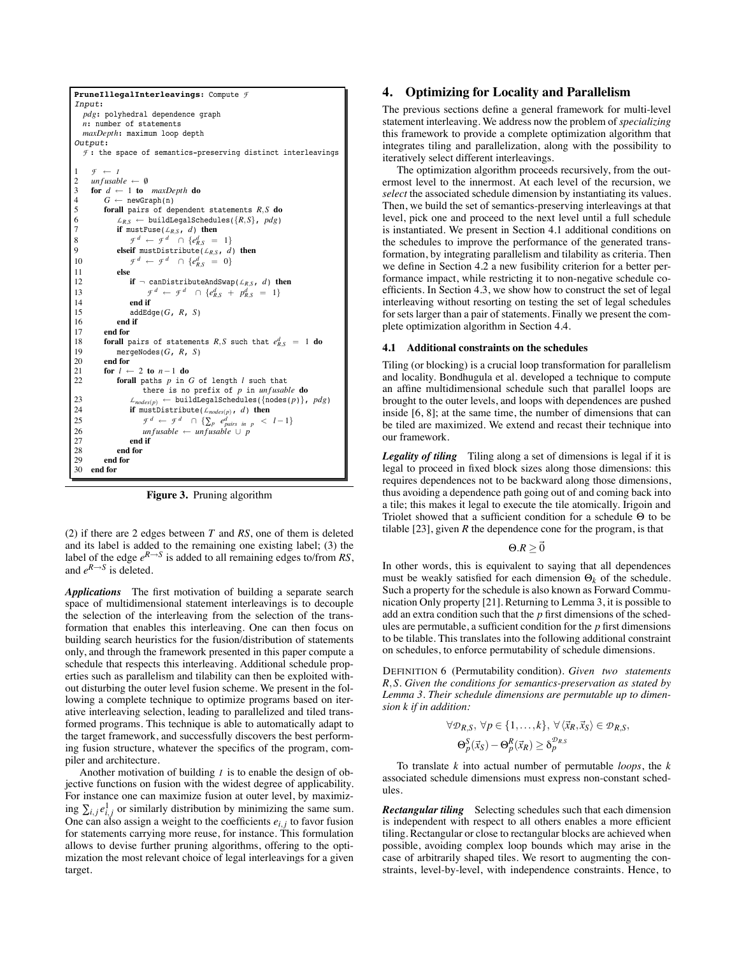| <b>PruneIllegalInterleavings:</b> Compute $f$                                                         |
|-------------------------------------------------------------------------------------------------------|
| Input:                                                                                                |
| $pdg$ : polyhedral dependence graph                                                                   |
| $n:$ number of statements                                                                             |
| maxDepth: maximum loop depth                                                                          |
| Output:                                                                                               |
| $f$ : the space of semantics-preserving distinct interleavings                                        |
| 1<br>$\mathcal{F} \leftarrow I$                                                                       |
| 2<br>$unfusable \leftarrow \emptyset$                                                                 |
| 3<br>for $d \leftarrow 1$ to maxDepth do                                                              |
| $G \leftarrow newGraph(n)$<br>4                                                                       |
| 5<br>forall pairs of dependent statements $R, S$ do                                                   |
| 6<br>$L_{RS} \leftarrow$ buildLegalSchedules( $\{R,S\}$ , pdg)                                        |
| $\overline{7}$<br>if mustFuse( $\mathcal{L}_{RS}$ , d) then                                           |
| $\mathcal{F}^d \leftarrow \mathcal{F}^d \cap \{e_{RS}^d = 1\}$<br>8                                   |
| 9<br>elseif mustDistribute( $L_{RS}$ , d) then                                                        |
| $\mathcal{F}^d \leftarrow \mathcal{F}^d \cap \{e_{R,S}^d = 0\}$<br>10                                 |
| 11<br>else                                                                                            |
| if $\neg$ canDistributeAndSwap( $\mathcal{L}_{RS}$ , d) then<br>12                                    |
| $\mathcal{F}^d \leftarrow \mathcal{F}^d \cap \{e_{RS}^d + p_{RS}^d = 1\}$<br>13                       |
| 14<br>end if                                                                                          |
| 15<br>addEdge(G, R, S)                                                                                |
| 16<br>end if                                                                                          |
| 17<br>end for                                                                                         |
| 18<br><b>forall</b> pairs of statements R,S such that $e_{RS}^d = 1$ <b>do</b>                        |
| 19<br>mergeNodes( $G, R, S$ )                                                                         |
| 20<br>end for                                                                                         |
| 21<br>for $l \leftarrow 2$ to $n-1$ do                                                                |
| 22<br>forall paths $p$ in $G$ of length $l$ such that                                                 |
| there is no prefix of $p$ in unfusable do                                                             |
| 23<br>$L_{nodes(p)} \leftarrow \text{buildLegends } \left\{ \{ \text{nodes}(p) \}, \text{p} \right\}$ |
| if mustDistribute( $\mathcal{L}_{nodes(p)}$ , d) then<br>24                                           |
| $\mathcal{F}^d \leftarrow \mathcal{F}^d \cap \{ \sum_p e_{pairs \ in \ p}^d \leq l-1 \}$<br>25        |
| unfusable $\leftarrow$ unfusable $\cup$ p<br>26                                                       |
| 27<br>end if                                                                                          |
| 28<br>end for                                                                                         |
| 29<br>end for                                                                                         |
| 30<br>end for                                                                                         |

**Figure 3.** Pruning algorithm

(2) if there are 2 edges between *T* and *RS*, one of them is deleted and its label is added to the remaining one existing label; (3) the label of the edge  $e^{R \to S}$  is added to all remaining edges to/from RS, and  $e^{R\rightarrow S}$  is deleted.

*Applications* The first motivation of building a separate search space of multidimensional statement interleavings is to decouple the selection of the interleaving from the selection of the transformation that enables this interleaving. One can then focus on building search heuristics for the fusion/distribution of statements only, and through the framework presented in this paper compute a schedule that respects this interleaving. Additional schedule properties such as parallelism and tilability can then be exploited without disturbing the outer level fusion scheme. We present in the following a complete technique to optimize programs based on iterative interleaving selection, leading to parallelized and tiled transformed programs. This technique is able to automatically adapt to the target framework, and successfully discovers the best performing fusion structure, whatever the specifics of the program, compiler and architecture.

Another motivation of building *I* is to enable the design of objective functions on fusion with the widest degree of applicability. For instance one can maximize fusion at outer level, by maximizing  $\sum_{i,j} e_{i,j}^1$  or similarly distribution by minimizing the same sum. One can also assign a weight to the coefficients  $e_{i,j}$  to favor fusion for statements carrying more reuse, for instance. This formulation allows to devise further pruning algorithms, offering to the optimization the most relevant choice of legal interleavings for a given target.

# **4. Optimizing for Locality and Parallelism**

The previous sections define a general framework for multi-level statement interleaving. We address now the problem of *specializing* this framework to provide a complete optimization algorithm that integrates tiling and parallelization, along with the possibility to iteratively select different interleavings.

The optimization algorithm proceeds recursively, from the outermost level to the innermost. At each level of the recursion, we *select* the associated schedule dimension by instantiating its values. Then, we build the set of semantics-preserving interleavings at that level, pick one and proceed to the next level until a full schedule is instantiated. We present in Section 4.1 additional conditions on the schedules to improve the performance of the generated transformation, by integrating parallelism and tilability as criteria. Then we define in Section 4.2 a new fusibility criterion for a better performance impact, while restricting it to non-negative schedule coefficients. In Section 4.3, we show how to construct the set of legal interleaving without resorting on testing the set of legal schedules for sets larger than a pair of statements. Finally we present the complete optimization algorithm in Section 4.4.

## **4.1 Additional constraints on the schedules**

Tiling (or blocking) is a crucial loop transformation for parallelism and locality. Bondhugula et al. developed a technique to compute an affine multidimensional schedule such that parallel loops are brought to the outer levels, and loops with dependences are pushed inside [6, 8]; at the same time, the number of dimensions that can be tiled are maximized. We extend and recast their technique into our framework.

*Legality of tiling* Tiling along a set of dimensions is legal if it is legal to proceed in fixed block sizes along those dimensions: this requires dependences not to be backward along those dimensions, thus avoiding a dependence path going out of and coming back into a tile; this makes it legal to execute the tile atomically. Irigoin and Triolet showed that a sufficient condition for a schedule Θ to be tilable  $[23]$ , given *R* the dependence cone for the program, is that

$$
\Theta.R \geq \vec{0}
$$

In other words, this is equivalent to saying that all dependences must be weakly satisfied for each dimension  $\Theta_k$  of the schedule. Such a property for the schedule is also known as Forward Communication Only property [21]. Returning to Lemma 3, it is possible to add an extra condition such that the *p* first dimensions of the schedules are permutable, a sufficient condition for the *p* first dimensions to be tilable. This translates into the following additional constraint on schedules, to enforce permutability of schedule dimensions.

DEFINITION 6 (Permutability condition). *Given two statements R*,*S. Given the conditions for semantics-preservation as stated by Lemma 3. Their schedule dimensions are permutable up to dimension k if in addition:*

$$
\forall \mathcal{D}_{R,S}, \forall p \in \{1, \dots, k\}, \forall \langle \vec{x}_R, \vec{x}_S \rangle \in \mathcal{D}_{R,S},
$$

$$
\Theta_p^S(\vec{x}_S) - \Theta_p^R(\vec{x}_R) \ge \delta_p^{\mathcal{D}_{R,S}}
$$

To translate *k* into actual number of permutable *loops*, the *k* associated schedule dimensions must express non-constant schedules.

*Rectangular tiling* Selecting schedules such that each dimension is independent with respect to all others enables a more efficient tiling. Rectangular or close to rectangular blocks are achieved when possible, avoiding complex loop bounds which may arise in the case of arbitrarily shaped tiles. We resort to augmenting the constraints, level-by-level, with independence constraints. Hence, to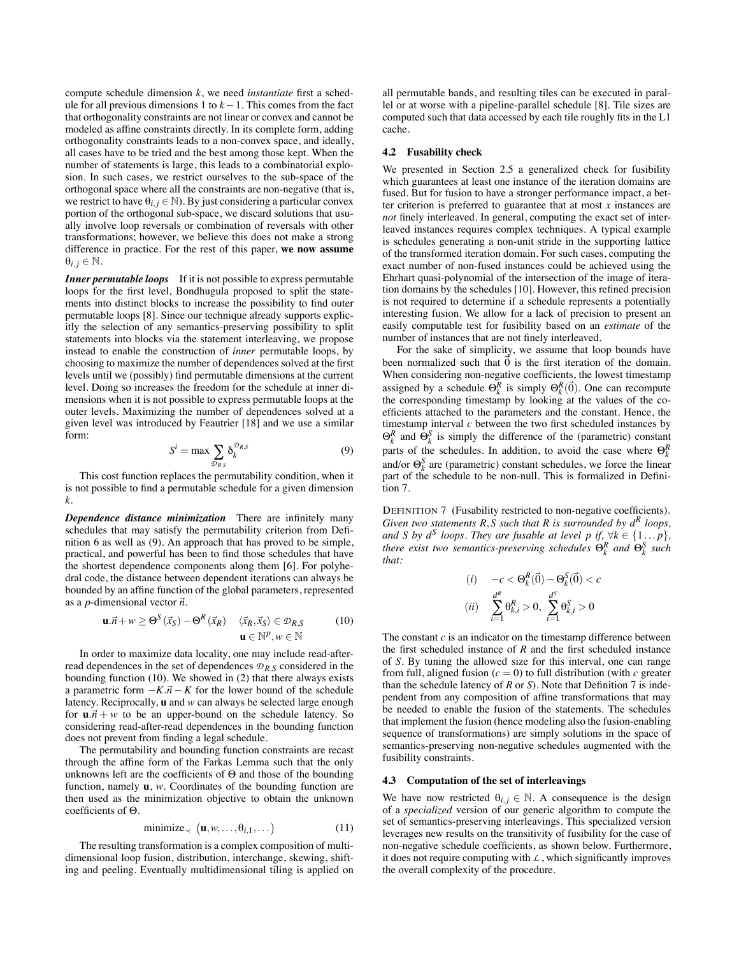compute schedule dimension *k*, we need *instantiate* first a schedule for all previous dimensions 1 to *k*−1. This comes from the fact that orthogonality constraints are not linear or convex and cannot be modeled as affine constraints directly. In its complete form, adding orthogonality constraints leads to a non-convex space, and ideally, all cases have to be tried and the best among those kept. When the number of statements is large, this leads to a combinatorial explosion. In such cases, we restrict ourselves to the sub-space of the orthogonal space where all the constraints are non-negative (that is, we restrict to have  $\theta_{i,j} \in \mathbb{N}$ ). By just considering a particular convex portion of the orthogonal sub-space, we discard solutions that usually involve loop reversals or combination of reversals with other transformations; however, we believe this does not make a strong difference in practice. For the rest of this paper, **we now assume**  $\theta_{i,j} \in \mathbb{N}$ .

*Inner permutable loops* If it is not possible to express permutable loops for the first level, Bondhugula proposed to split the statements into distinct blocks to increase the possibility to find outer permutable loops [8]. Since our technique already supports explicitly the selection of any semantics-preserving possibility to split statements into blocks via the statement interleaving, we propose instead to enable the construction of *inner* permutable loops, by choosing to maximize the number of dependences solved at the first levels until we (possibly) find permutable dimensions at the current level. Doing so increases the freedom for the schedule at inner dimensions when it is not possible to express permutable loops at the outer levels. Maximizing the number of dependences solved at a given level was introduced by Feautrier [18] and we use a similar form:

$$
S^i = \max \sum_{\mathcal{D}_{R,S}} \delta_k^{\mathcal{D}_{R,S}} \tag{9}
$$

This cost function replaces the permutability condition, when it is not possible to find a permutable schedule for a given dimension *k*.

*Dependence distance minimization* There are infinitely many schedules that may satisfy the permutability criterion from Definition 6 as well as (9). An approach that has proved to be simple, practical, and powerful has been to find those schedules that have the shortest dependence components along them [6]. For polyhedral code, the distance between dependent iterations can always be bounded by an affine function of the global parameters, represented as a  $p$ -dimensional vector  $\vec{n}$ .

$$
\mathbf{u}.\vec{n} + w \ge \Theta^S(\vec{x}_S) - \Theta^R(\vec{x}_R) \quad \langle \vec{x}_R, \vec{x}_S \rangle \in \mathcal{D}_{R,S} \tag{10}
$$
\n
$$
\mathbf{u} \in \mathbb{N}^p, w \in \mathbb{N}
$$

In order to maximize data locality, one may include read-afterread dependences in the set of dependences  $\mathcal{D}_R$ <sub>*S*</sub> considered in the bounding function (10). We showed in (2) that there always exists a parametric form  $-K.\vec{n} - K$  for the lower bound of the schedule latency. Reciprocally, **u** and *w* can always be selected large enough for  $\mathbf{u}.\vec{n} + w$  to be an upper-bound on the schedule latency. So considering read-after-read dependences in the bounding function does not prevent from finding a legal schedule.

The permutability and bounding function constraints are recast through the affine form of the Farkas Lemma such that the only unknowns left are the coefficients of Θ and those of the bounding function, namely **u**, *w*. Coordinates of the bounding function are then used as the minimization objective to obtain the unknown coefficients of Θ.

$$
\text{minimize}_{\prec} \left( \mathbf{u}, w, \dots, \theta_{i,1}, \dots \right) \tag{11}
$$

The resulting transformation is a complex composition of multidimensional loop fusion, distribution, interchange, skewing, shifting and peeling. Eventually multidimensional tiling is applied on

all permutable bands, and resulting tiles can be executed in parallel or at worse with a pipeline-parallel schedule [8]. Tile sizes are computed such that data accessed by each tile roughly fits in the L1 cache.

### **4.2 Fusability check**

We presented in Section 2.5 a generalized check for fusibility which guarantees at least one instance of the iteration domains are fused. But for fusion to have a stronger performance impact, a better criterion is preferred to guarantee that at most  $x$  instances are *not* finely interleaved. In general, computing the exact set of interleaved instances requires complex techniques. A typical example is schedules generating a non-unit stride in the supporting lattice of the transformed iteration domain. For such cases, computing the exact number of non-fused instances could be achieved using the Ehrhart quasi-polynomial of the intersection of the image of iteration domains by the schedules [10]. However, this refined precision is not required to determine if a schedule represents a potentially interesting fusion. We allow for a lack of precision to present an easily computable test for fusibility based on an *estimate* of the number of instances that are not finely interleaved.

For the sake of simplicity, we assume that loop bounds have been normalized such that  $\vec{0}$  is the first iteration of the domain. When considering non-negative coefficients, the lowest timestamp assigned by a schedule  $\Theta_k^R$  is simply  $\Theta_k^R(\vec{0})$ . One can recompute the corresponding timestamp by looking at the values of the coefficients attached to the parameters and the constant. Hence, the timestamp interval *c* between the two first scheduled instances by Θ*R <sup>k</sup>* and <sup>Θ</sup>*<sup>S</sup> <sup>k</sup>* is simply the difference of the (parametric) constant parts of the schedules. In addition, to avoid the case where  $\Theta_k^R$ and/or  $\Theta_k^S$  are (parametric) constant schedules, we force the linear part of the schedule to be non-null. This is formalized in Definition 7.

DEFINITION 7 (Fusability restricted to non-negative coefficients). *Given two statements R*,*S such that R is surrounded by d<sup>R</sup> loops, and S by d<sup>S</sup> loops. They are fusable at level p if,*  $\forall k \in \{1...p\}$ *, there exist two semantics-preserving schedules*  $\Theta_k^R$  *and*  $\Theta_k^S$  *such that:*

$$
(i) \quad -c < \Theta_k^R(\vec{0}) - \Theta_k^S(\vec{0}) < c
$$
\n
$$
(ii) \quad \sum_{i=1}^{d^R} \Theta_{k,i}^R > 0, \quad \sum_{i=1}^{d^S} \Theta_{k,i}^S > 0
$$

The constant *c* is an indicator on the timestamp difference between the first scheduled instance of *R* and the first scheduled instance of *S*. By tuning the allowed size for this interval, one can range from full, aligned fusion  $(c = 0)$  to full distribution (with  $c$  greater than the schedule latency of *R* or *S*). Note that Definition 7 is independent from any composition of affine transformations that may be needed to enable the fusion of the statements. The schedules that implement the fusion (hence modeling also the fusion-enabling sequence of transformations) are simply solutions in the space of semantics-preserving non-negative schedules augmented with the fusibility constraints.

## **4.3 Computation of the set of interleavings**

We have now restricted  $\theta_{i,j} \in \mathbb{N}$ . A consequence is the design of a *specialized* version of our generic algorithm to compute the set of semantics-preserving interleavings. This specialized version leverages new results on the transitivity of fusibility for the case of non-negative schedule coefficients, as shown below. Furthermore, it does not require computing with  $\mathcal L$ , which significantly improves the overall complexity of the procedure.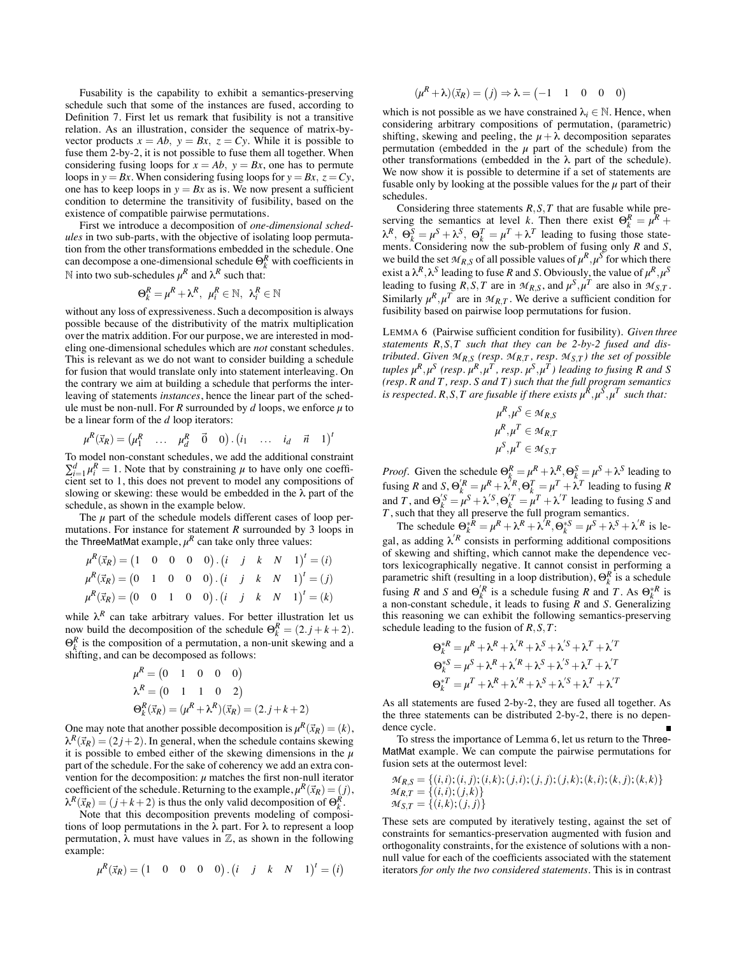Fusability is the capability to exhibit a semantics-preserving schedule such that some of the instances are fused, according to Definition 7. First let us remark that fusibility is not a transitive relation. As an illustration, consider the sequence of matrix-byvector products  $x = Ab$ ,  $y = Bx$ ,  $z = Cy$ . While it is possible to fuse them 2-by-2, it is not possible to fuse them all together. When considering fusing loops for  $x = Ab$ ,  $y = Bx$ , one has to permute loops in  $y = Bx$ . When considering fusing loops for  $y = Bx$ ,  $z = Cy$ , one has to keep loops in  $y = Bx$  as is. We now present a sufficient condition to determine the transitivity of fusibility, based on the existence of compatible pairwise permutations.

First we introduce a decomposition of *one-dimensional schedules* in two sub-parts, with the objective of isolating loop permutation from the other transformations embedded in the schedule. One can decompose a one-dimensional schedule  $\Theta_k^R$  with coefficients in N into two sub-schedules  $\mu^R$  and  $\lambda^R$  such that:

$$
\Theta_k^R = \mu^R + \lambda^R, \ \mu_i^R \in \mathbb{N}, \ \lambda_i^R \in \mathbb{N}
$$

without any loss of expressiveness. Such a decomposition is always possible because of the distributivity of the matrix multiplication over the matrix addition. For our purpose, we are interested in modeling one-dimensional schedules which are *not* constant schedules. This is relevant as we do not want to consider building a schedule for fusion that would translate only into statement interleaving. On the contrary we aim at building a schedule that performs the interleaving of statements *instances*, hence the linear part of the schedule must be non-null. For *R* surrounded by *d* loops, we enforce  $\mu$  to be a linear form of the *d* loop iterators:

$$
\mu^{R}(\vec{x}_{R}) = (\mu_{1}^{R} \quad \dots \quad \mu_{d}^{R} \quad \vec{0} \quad 0) \cdot (i_{1} \quad \dots \quad i_{d} \quad \vec{n} \quad 1)^{t}
$$

To model non-constant schedules, we add the additional constraint  $\sum_{i=1}^{d} \mu_i^R = 1$ . Note that by constraining  $\mu$  to have only one coefficient set to 1, this does not prevent to model any compositions of slowing or skewing: these would be embedded in the  $\lambda$  part of the schedule, as shown in the example below.

The  $\mu$  part of the schedule models different cases of loop permutations. For instance for statement *R* surrounded by 3 loops in the ThreeMatMat example,  $\mu^R$  can take only three values:

$$
\mu^{R}(\vec{x}_{R}) = \begin{pmatrix} 1 & 0 & 0 & 0 & 0 \end{pmatrix} \cdot \begin{pmatrix} i & j & k & N & 1 \end{pmatrix}^{t} = (i)
$$
  

$$
\mu^{R}(\vec{x}_{R}) = \begin{pmatrix} 0 & 1 & 0 & 0 & 0 \end{pmatrix} \cdot \begin{pmatrix} i & j & k & N & 1 \end{pmatrix}^{t} = (j)
$$
  

$$
\mu^{R}(\vec{x}_{R}) = \begin{pmatrix} 0 & 0 & 1 & 0 & 0 \end{pmatrix} \cdot \begin{pmatrix} i & j & k & N & 1 \end{pmatrix}^{t} = (k)
$$

while  $\lambda^R$  can take arbitrary values. For better illustration let us now build the decomposition of the schedule  $\Theta_k^R = (2 \cdot j + k + 2)$ .  $\Theta_k^R$  is the composition of a permutation, a non-unit skewing and a shifting, and can be decomposed as follows:

$$
\mu^{R} = \begin{pmatrix} 0 & 1 & 0 & 0 & 0 \end{pmatrix}
$$
  
\n
$$
\lambda^{R} = \begin{pmatrix} 0 & 1 & 1 & 0 & 2 \end{pmatrix}
$$
  
\n
$$
\Theta_{k}^{R}(\vec{x}_{R}) = (\mu^{R} + \lambda^{R})(\vec{x}_{R}) = (2 \cdot j + k + 2)
$$

One may note that another possible decomposition is  $\mu^R(\vec{x}_R) = (k)$ ,  $\lambda^R(\vec{x}_R) = (2j+2)$ . In general, when the schedule contains skewing it is possible to embed either of the skewing dimensions in the  $\mu$ part of the schedule. For the sake of coherency we add an extra convention for the decomposition:  $\mu$  matches the first non-null iterator coefficient of the schedule. Returning to the example,  $\mu^R(\vec{x}_R) = (j)$ ,  $\lambda^R(\vec{x}_R) = (j + k + 2)$  is thus the only valid decomposition of  $\Theta^R_k$ .

Note that this decomposition prevents modeling of compositions of loop permutations in the  $\lambda$  part. For  $\lambda$  to represent a loop permutation,  $\lambda$  must have values in  $\mathbb{Z}$ , as shown in the following example:

$$
\mu^{R}(\vec{x}_{R}) = \begin{pmatrix} 1 & 0 & 0 & 0 & 0 \end{pmatrix} . \begin{pmatrix} i & j & k & N & 1 \end{pmatrix}^{t} = \begin{pmatrix} i \end{pmatrix}
$$

$$
(\mu^R + \lambda)(\vec{x}_R) = (j) \Rightarrow \lambda = (-1 \quad 1 \quad 0 \quad 0 \quad 0)
$$

which is not possible as we have constrained  $\lambda_i \in \mathbb{N}$ . Hence, when considering arbitrary compositions of permutation, (parametric) shifting, skewing and peeling, the  $\mu + \lambda$  decomposition separates permutation (embedded in the  $\mu$  part of the schedule) from the other transformations (embedded in the  $\lambda$  part of the schedule). We now show it is possible to determine if a set of statements are fusable only by looking at the possible values for the  $\mu$  part of their schedules.

Considering three statements *R*,*S*,*T* that are fusable while preserving the semantics at level *k*. Then there exist  $\Theta_k^R = \mu^R + \frac{1}{2}$  $\lambda^R$ ,  $\Theta_k^S = \mu^S + \lambda^S$ ,  $\Theta_k^T = \mu^T + \lambda^T$  leading to fusing those statements. Considering now the sub-problem of fusing only  $R$  and  $S$ , we build the set  $\mathcal{M}_{R,S}$  of all possible values of  $\mu^R, \mu^S$  for which there exist a  $\lambda^R$ ,  $\lambda^S$  leading to fuse *R* and *S*. Obviously, the value of  $\mu^R$ ,  $\mu^S$ leading to fusing  $R$ ,  $S$ ,  $T$  are in  $M_{R,S}$ , and  $\mu^S$ ,  $\mu^T$  are also in  $M_{S,T}$ . Similarly  $\mu^R$ ,  $\mu^T$  are in  $M_{RT}$ . We derive a sufficient condition for fusibility based on pairwise loop permutations for fusion.

LEMMA 6 (Pairwise sufficient condition for fusibility). *Given three statements R*,*S*,*T such that they can be 2-by-2 fused and distributed. Given M <sup>R</sup>*,*<sup>S</sup> (resp. M <sup>R</sup>*,*<sup>T</sup> , resp. M <sup>S</sup>*,*<sup>T</sup> ) the set of possible tuples*  $\mu^R$ *,* $\mu^S$  (resp.  $\mu^R$ , $\mu^T$ , resp.  $\mu^S$ , $\mu^T$ ) leading to fusing R and S *(resp. R and T , resp. S and T ) such that the full program semantics is respected.*  $\overrightarrow{R}$ ,  $\overrightarrow{S}$ ,  $\overrightarrow{T}$  are fusable if there exists  $\mu^{\overrightarrow{R}}$ ,  $\mu^{\overrightarrow{S}}$ ,  $\mu^T$  such that:

$$
\mu^R, \mu^S \in \mathcal{M}_{R,S}
$$
  

$$
\mu^R, \mu^T \in \mathcal{M}_{R,T}
$$
  

$$
\mu^S, \mu^T \in \mathcal{M}_{S,T}
$$

*Proof.* Given the schedule  $\Theta_k^R = \mu^R + \lambda^R$ ,  $\Theta_k^S = \mu^S + \lambda^S$  leading to fusing *R* and *S*,  $\Theta_k^{'R} = \mu^R + \lambda^{'R}, \Theta_k^T = \mu^T + \lambda^T$  leading to fusing *R* and *T*, and  $\Theta_k^{'S} = \mu^S + \lambda^{'S}, \Theta_k^{'T} = \mu^T + \lambda^{'T}$  leading to fusing *S* and *T*, such that they all preserve the full program semantics.

The schedule  $\Theta_k^{*R} = \mu^R + \lambda^R + \lambda^{'R}, \Theta_k^{*S} = \mu^S + \lambda^S + \lambda^{'R}$  is legal, as adding  $\lambda^{\prime R}$  consists in performing additional compositions of skewing and shifting, which cannot make the dependence vectors lexicographically negative. It cannot consist in performing a parametric shift (resulting in a loop distribution),  $\Theta_k^R$  is a schedule fusing *R* and *S* and  $\Theta_k^{\prime R}$  is a schedule fusing *R* and *T*. As  $\Theta_k^{*R}$  is a non-constant schedule, it leads to fusing *R* and *S*. Generalizing this reasoning we can exhibit the following semantics-preserving schedule leading to the fusion of *R*,*S*,*T*:

$$
\Theta_k^{*R} = \mu^R + \lambda^R + \lambda'^R + \lambda^S + \lambda'^S + \lambda^T + \lambda'^T
$$
  
\n
$$
\Theta_k^{*S} = \mu^S + \lambda^R + \lambda'^R + \lambda^S + \lambda'^S + \lambda^T + \lambda'^T
$$
  
\n
$$
\Theta_k^{*T} = \mu^T + \lambda^R + \lambda'^R + \lambda^S + \lambda'^S + \lambda^T + \lambda'^T
$$

As all statements are fused 2-by-2, they are fused all together. As the three statements can be distributed 2-by-2, there is no dependence cycle.

To stress the importance of Lemma 6, let us return to the Three-MatMat example. We can compute the pairwise permutations for fusion sets at the outermost level:

$$
\mathcal{M}_{R,S} = \{ (i,i); (i,j); (i,k); (j,i); (j,j); (j,k); (k,i); (k,j); (k,k) \}
$$
  
\n
$$
\mathcal{M}_{R,T} = \{ (i,i); (j,k) \}
$$
  
\n
$$
\mathcal{M}_{S,T} = \{ (i,k); (j,j) \}
$$

These sets are computed by iteratively testing, against the set of constraints for semantics-preservation augmented with fusion and orthogonality constraints, for the existence of solutions with a nonnull value for each of the coefficients associated with the statement iterators *for only the two considered statements*. This is in contrast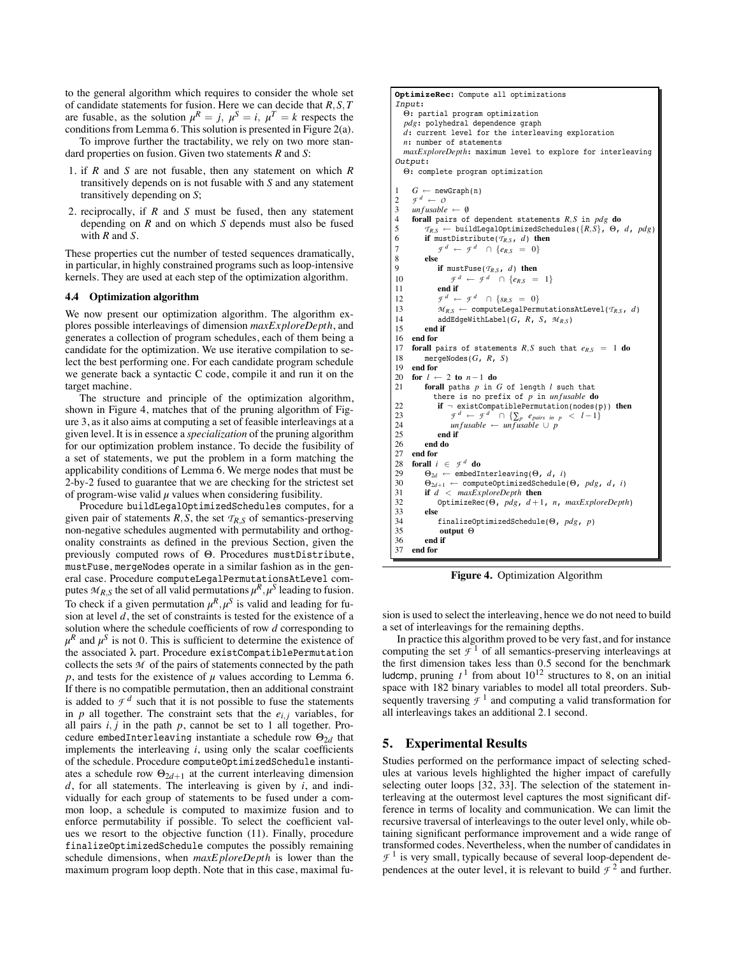to the general algorithm which requires to consider the whole set of candidate statements for fusion. Here we can decide that *R*,*S*,*T* are fusable, as the solution  $\mu^R = j$ ,  $\mu^S = i$ ,  $\mu^T = k$  respects the conditions from Lemma 6. This solution is presented in Figure 2(a).

To improve further the tractability, we rely on two more standard properties on fusion. Given two statements *R* and *S*:

- 1. if *R* and *S* are not fusable, then any statement on which *R* transitively depends on is not fusable with *S* and any statement transitively depending on *S*;
- 2. reciprocally, if *R* and *S* must be fused, then any statement depending on *R* and on which *S* depends must also be fused with *R* and *S*.

These properties cut the number of tested sequences dramatically, in particular, in highly constrained programs such as loop-intensive kernels. They are used at each step of the optimization algorithm.

# **4.4 Optimization algorithm**

We now present our optimization algorithm. The algorithm explores possible interleavings of dimension *maxExploreDepth*, and generates a collection of program schedules, each of them being a candidate for the optimization. We use iterative compilation to select the best performing one. For each candidate program schedule we generate back a syntactic C code, compile it and run it on the target machine.

The structure and principle of the optimization algorithm, shown in Figure 4, matches that of the pruning algorithm of Figure 3, as it also aims at computing a set of feasible interleavings at a given level. It is in essence a *specialization* of the pruning algorithm for our optimization problem instance. To decide the fusibility of a set of statements, we put the problem in a form matching the applicability conditions of Lemma 6. We merge nodes that must be 2-by-2 fused to guarantee that we are checking for the strictest set of program-wise valid  $\mu$  values when considering fusibility.

Procedure buildLegalOptimizedSchedules computes, for a given pair of statements  $R$ ,  $S$ , the set  $T_{R,S}$  of semantics-preserving non-negative schedules augmented with permutability and orthogonality constraints as defined in the previous Section, given the previously computed rows of Θ. Procedures mustDistribute, mustFuse, mergeNodes operate in a similar fashion as in the general case. Procedure computeLegalPermutationsAtLevel computes  $M_{R,S}$  the set of all valid permutations  $\mu^R, \mu^S$  leading to fusion. To check if a given permutation  $\mu^R$ ,  $\mu^S$  is valid and leading for fusion at level *d*, the set of constraints is tested for the existence of a solution where the schedule coefficients of row *d* corresponding to  $\mu^R$  and  $\mu^S$  is not 0. This is sufficient to determine the existence of the associated λ part. Procedure existCompatiblePermutation collects the sets *M* of the pairs of statements connected by the path  $p$ , and tests for the existence of  $\mu$  values according to Lemma 6. If there is no compatible permutation, then an additional constraint is added to  $f^d$  such that it is not possible to fuse the statements in *p* all together. The constraint sets that the  $e_i$ , variables, for all pairs *i*, *j* in the path *p*, cannot be set to 1 all together. Procedure embedInterleaving instantiate a schedule row Θ<sub>2d</sub> that implements the interleaving *i*, using only the scalar coefficients of the schedule. Procedure computeOptimizedSchedule instantiates a schedule row  $\Theta_{2d+1}$  at the current interleaving dimension *d*, for all statements. The interleaving is given by *i*, and individually for each group of statements to be fused under a common loop, a schedule is computed to maximize fusion and to enforce permutability if possible. To select the coefficient values we resort to the objective function (11). Finally, procedure finalizeOptimizedSchedule computes the possibly remaining schedule dimensions, when *maxE ploreDepth* is lower than the maximum program loop depth. Note that in this case, maximal fu-

```
OptimizeRec: Compute all optimizations
Input:
   Θ: partial program optimization
   pdg: polyhedral dependence graph
   d: current level for the interleaving exploration
   n: number of statements
   maxExploreDepth: maximum level to explore for interleaving
Output:
   Θ: complete program optimization
\begin{array}{lcl} 1 & G \leftarrow {\tt newGraph(n)} \\ 2 & \mathcal{F}^d \leftarrow \ \mathit{O} \end{array}2 f^d \leftarrow 0<br>3 unfusable
3 unfusable \leftarrow \emptyset<br>4 forall pairs of
4 forall pairs of dependent statements R, S in pdg do 5 T_{R,S} \leftarrow buildLegalOptimizedSchedules\{\{R,S\}, \Theta,
T_{R,S} ← buildLegalOptimizedSchedules({R,S}, Θ, d, pdg)<br>6 if mustDistribute(T_{R,S}, d) then
6 if mustDistribute(T_{R,S}, d) then<br>7 \tau^d \leftarrow \tau^d \cap \{e_{R,S} = 0\}7 \mathcal{F}^d \leftarrow \mathcal{F}^d \cap \{e_{R,S} = 0\}<br>8 else
8 else
                if \text{mustFuse}(\mathcal{T}_{R,S}, d) then
10 \mathcal{F}^d \leftarrow \mathcal{F}^d \cap \{e_{R,S} = 1\}<br>11 end if
11 end if<br>12 \qquadq^d \qquad \qquad12 f^d \leftarrow f^d \cap \{s_{R,S} = 0\}<br>13 M_{RS} \leftarrow \text{computeLegendlerm}13 M_{R,S} \leftarrow \text{computeLegendremutations}H_{R,S} \leftarrow \text{addEdgeWithLabel}(G, R, S, M_{R,S})14 addEdgeWithLabel(G, R, S, \mathcal{M}_{R,S})<br>15 end if
           end if
16 end for
17 forall pairs of statements R, S such that e_{R,S} = 1 do 18 mergeNodes (G. R. S)
           mergeNodes(G, R, S)19 end for<br>20 for l \leftarrow20 for l \leftarrow 2 to n-1 do<br>21 forall paths p \text{ in } 0forall paths p in G of length l such that
               there is no prefix of p in unfusable do
22 if ¬ existCompatiblePermutation(nodes(p)) then
23 \mathcal{F}^d \leftarrow \mathcal{F}^d \cap \{\sum_p e_{pairs \in p} \mid p \leq l-1\}<br>24 unfusable ← unfusable ∪ p
\frac{25}{26} end if
           26 end do
27 end for
28 forall i \in \mathcal{F}^d do<br>29 a<sub>24</sub> ← embedIt
29 \Theta_{2d} \leftarrow \text{embedInterleaving}(\Theta, d, i)<br>30 \Theta_{2d+1} \leftarrow \text{computeOptimizedScheduling}30 \Theta_{2d+1} \leftarrow \text{computeOptimizedScheduling}(\Theta, pdg, d, i)<br>31 if d < maxEnloreDepth then
31 if d < maxExploreDepth then
                32 OptimizeRec(Θ, pdg, d +1, n, maxExploreDepth)
33 else
34 finalizeOptimizedSchedule(Θ, pdg, p)
35 output Θ
36 end if
      end for
```
**Figure 4.** Optimization Algorithm

sion is used to select the interleaving, hence we do not need to build a set of interleavings for the remaining depths.

In practice this algorithm proved to be very fast, and for instance computing the set  $\mathcal{F}^1$  of all semantics-preserving interleavings at the first dimension takes less than 0.5 second for the benchmark ludcmp, pruning  $I<sup>1</sup>$  from about  $10<sup>12</sup>$  structures to 8, on an initial space with 182 binary variables to model all total preorders. Subsequently traversing  $\mathcal{F}^1$  and computing a valid transformation for all interleavings takes an additional 2.1 second.

# **5. Experimental Results**

Studies performed on the performance impact of selecting schedules at various levels highlighted the higher impact of carefully selecting outer loops [32, 33]. The selection of the statement interleaving at the outermost level captures the most significant difference in terms of locality and communication. We can limit the recursive traversal of interleavings to the outer level only, while obtaining significant performance improvement and a wide range of transformed codes. Nevertheless, when the number of candidates in  $\mathcal{F}^1$  is very small, typically because of several loop-dependent dependences at the outer level, it is relevant to build  $\mathcal{F}^2$  and further.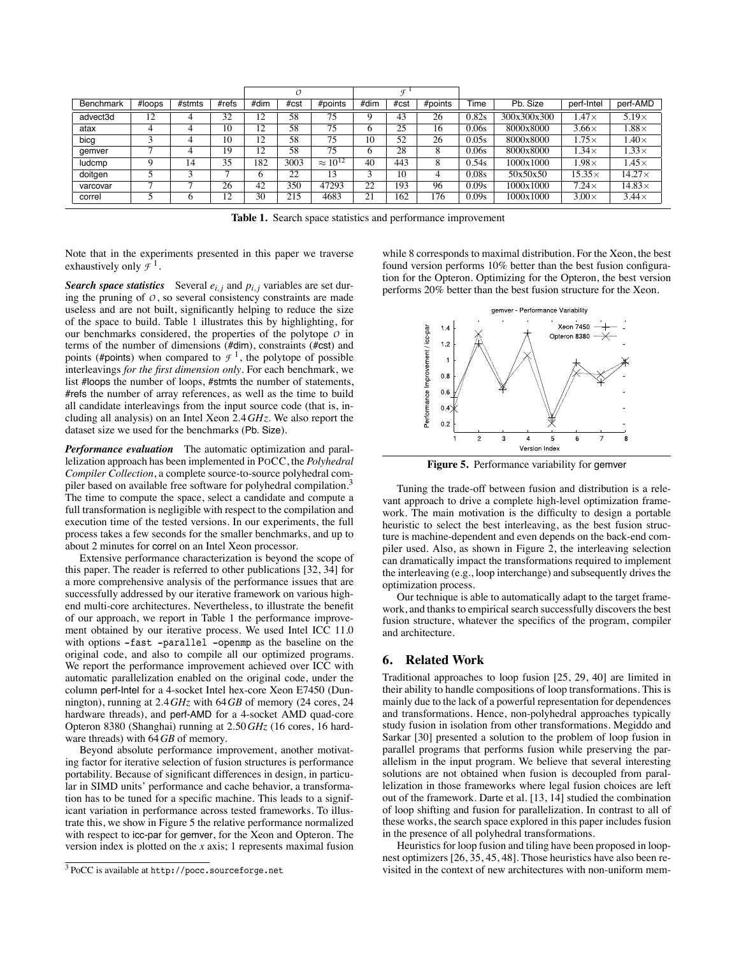|           |        |        |       | $\overline{O}$      |      |                   | $\sigma$        |      |         |       |             |               |               |
|-----------|--------|--------|-------|---------------------|------|-------------------|-----------------|------|---------|-------|-------------|---------------|---------------|
| Benchmark | #loops | #stmts | #refs | #dim                | #cst | $#$ points        | #dim            | #cst | #points | Time  | Pb. Size    | perf-Intel    | perf-AMD      |
| advect3d  | 12     | 4      | 32    |                     | 58   | 75                |                 | 43   | 26      | 0.82s | 300x300x300 | $1.47\times$  | $5.19\times$  |
| atax      |        |        | 10    | 1 <sub>2</sub>      | 58   | 75                |                 | 25   | 16      | 0.06s | 8000x8000   | $3.66\times$  | $1.88\times$  |
| bicg      |        |        | 10    | 1 <sub>2</sub><br>┸ | 58   | 75                | 10              | 52   | 26      | 0.05s | 8000x8000   | 1.75 $\times$ | $1.40\times$  |
| gemver    |        |        | 19    | 1 <sub>2</sub><br>┸ | 58   | 75                |                 | 28   | 8       | 0.06s | 8000x8000   | $1.34\times$  | $1.33\times$  |
| ludcmp    |        | ،4     | 35    | 182                 | 3003 | $\approx 10^{12}$ | 40              | 443  | o<br>δ  | 0.54s | 1000x1000   | $1.98\times$  | $1.45\times$  |
| doitgen   |        |        |       |                     | 22   |                   |                 | 10   | 4       | 0.08s | 50x50x50    | $15.35\times$ | $14.27\times$ |
| varcovar  |        |        | 26    | 42                  | 350  | 47293             | $\overline{22}$ | 193  | 96      | 0.09s | 1000x1000   | $7.24\times$  | $14.83\times$ |
| correl    |        |        | L 4   | 30                  | 215  | 4683              | 21              | 162  | 176     | 0.09s | 1000x1000   | $3.00\times$  | $3.44\times$  |

**Table 1.** Search space statistics and performance improvement

Note that in the experiments presented in this paper we traverse exhaustively only  $\mathcal{F}^1$ .

**Search space statistics** Several  $e_{i,j}$  and  $p_{i,j}$  variables are set during the pruning of  $O$ , so several consistency constraints are made useless and are not built, significantly helping to reduce the size of the space to build. Table 1 illustrates this by highlighting, for our benchmarks considered, the properties of the polytope *O* in terms of the number of dimensions (#dim), constraints (#cst) and points (#points) when compared to  $\mathcal{F}^1$ , the polytope of possible interleavings *for the first dimension only*. For each benchmark, we list #loops the number of loops, #stmts the number of statements, #refs the number of array references, as well as the time to build all candidate interleavings from the input source code (that is, including all analysis) on an Intel Xeon 2.4*GHz*. We also report the dataset size we used for the benchmarks (Pb. Size).

*Performance evaluation* The automatic optimization and parallelization approach has been implemented in POCC, the *Polyhedral Compiler Collection*, a complete source-to-source polyhedral compiler based on available free software for polyhedral compilation.<sup>3</sup> The time to compute the space, select a candidate and compute a full transformation is negligible with respect to the compilation and execution time of the tested versions. In our experiments, the full process takes a few seconds for the smaller benchmarks, and up to about 2 minutes for correl on an Intel Xeon processor.

Extensive performance characterization is beyond the scope of this paper. The reader is referred to other publications [32, 34] for a more comprehensive analysis of the performance issues that are successfully addressed by our iterative framework on various highend multi-core architectures. Nevertheless, to illustrate the benefit of our approach, we report in Table 1 the performance improvement obtained by our iterative process. We used Intel ICC 11.0 with options -fast -parallel -openmp as the baseline on the original code, and also to compile all our optimized programs. We report the performance improvement achieved over ICC with automatic parallelization enabled on the original code, under the column perf-Intel for a 4-socket Intel hex-core Xeon E7450 (Dunnington), running at 2.4*GHz* with 64*GB* of memory (24 cores, 24 hardware threads), and perf-AMD for a 4-socket AMD quad-core Opteron 8380 (Shanghai) running at 2.50*GHz* (16 cores, 16 hardware threads) with 64*GB* of memory.

Beyond absolute performance improvement, another motivating factor for iterative selection of fusion structures is performance portability. Because of significant differences in design, in particular in SIMD units' performance and cache behavior, a transformation has to be tuned for a specific machine. This leads to a significant variation in performance across tested frameworks. To illustrate this, we show in Figure 5 the relative performance normalized with respect to icc-par for gemver, for the Xeon and Opteron. The version index is plotted on the *x* axis; 1 represents maximal fusion

while 8 corresponds to maximal distribution. For the Xeon, the best found version performs 10% better than the best fusion configuration for the Opteron. Optimizing for the Opteron, the best version performs 20% better than the best fusion structure for the Xeon.



**Figure 5.** Performance variability for gemver

Tuning the trade-off between fusion and distribution is a relevant approach to drive a complete high-level optimization framework. The main motivation is the difficulty to design a portable heuristic to select the best interleaving, as the best fusion structure is machine-dependent and even depends on the back-end compiler used. Also, as shown in Figure 2, the interleaving selection can dramatically impact the transformations required to implement the interleaving (e.g., loop interchange) and subsequently drives the optimization process.

Our technique is able to automatically adapt to the target framework, and thanks to empirical search successfully discovers the best fusion structure, whatever the specifics of the program, compiler and architecture.

# **6. Related Work**

Traditional approaches to loop fusion [25, 29, 40] are limited in their ability to handle compositions of loop transformations. This is mainly due to the lack of a powerful representation for dependences and transformations. Hence, non-polyhedral approaches typically study fusion in isolation from other transformations. Megiddo and Sarkar [30] presented a solution to the problem of loop fusion in parallel programs that performs fusion while preserving the parallelism in the input program. We believe that several interesting solutions are not obtained when fusion is decoupled from parallelization in those frameworks where legal fusion choices are left out of the framework. Darte et al. [13, 14] studied the combination of loop shifting and fusion for parallelization. In contrast to all of these works, the search space explored in this paper includes fusion in the presence of all polyhedral transformations.

Heuristics for loop fusion and tiling have been proposed in loopnest optimizers [26, 35, 45, 48]. Those heuristics have also been revisited in the context of new architectures with non-uniform mem-

<sup>3</sup> PoCC is available at http://pocc.sourceforge.net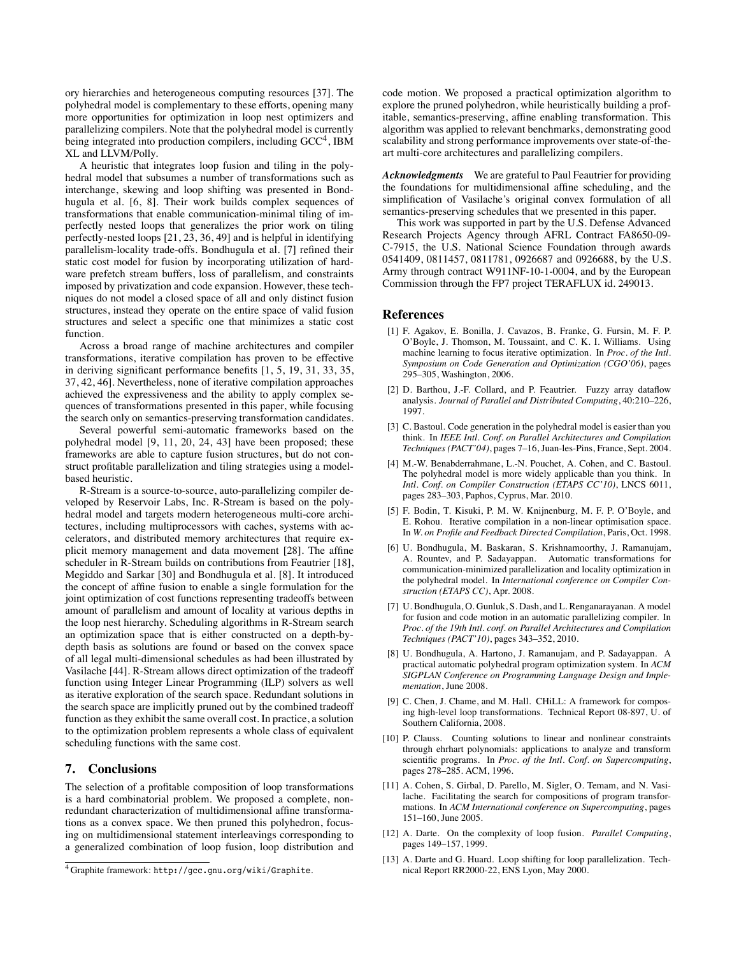ory hierarchies and heterogeneous computing resources [37]. The polyhedral model is complementary to these efforts, opening many more opportunities for optimization in loop nest optimizers and parallelizing compilers. Note that the polyhedral model is currently being integrated into production compilers, including  $GCC<sup>4</sup>$ , IBM XL and LLVM/Polly.

A heuristic that integrates loop fusion and tiling in the polyhedral model that subsumes a number of transformations such as interchange, skewing and loop shifting was presented in Bondhugula et al. [6, 8]. Their work builds complex sequences of transformations that enable communication-minimal tiling of imperfectly nested loops that generalizes the prior work on tiling perfectly-nested loops [21, 23, 36, 49] and is helpful in identifying parallelism-locality trade-offs. Bondhugula et al. [7] refined their static cost model for fusion by incorporating utilization of hardware prefetch stream buffers, loss of parallelism, and constraints imposed by privatization and code expansion. However, these techniques do not model a closed space of all and only distinct fusion structures, instead they operate on the entire space of valid fusion structures and select a specific one that minimizes a static cost function.

Across a broad range of machine architectures and compiler transformations, iterative compilation has proven to be effective in deriving significant performance benefits [1, 5, 19, 31, 33, 35, 37, 42, 46]. Nevertheless, none of iterative compilation approaches achieved the expressiveness and the ability to apply complex sequences of transformations presented in this paper, while focusing the search only on semantics-preserving transformation candidates.

Several powerful semi-automatic frameworks based on the polyhedral model [9, 11, 20, 24, 43] have been proposed; these frameworks are able to capture fusion structures, but do not construct profitable parallelization and tiling strategies using a modelbased heuristic.

R-Stream is a source-to-source, auto-parallelizing compiler developed by Reservoir Labs, Inc. R-Stream is based on the polyhedral model and targets modern heterogeneous multi-core architectures, including multiprocessors with caches, systems with accelerators, and distributed memory architectures that require explicit memory management and data movement [28]. The affine scheduler in R-Stream builds on contributions from Feautrier [18], Megiddo and Sarkar [30] and Bondhugula et al. [8]. It introduced the concept of affine fusion to enable a single formulation for the joint optimization of cost functions representing tradeoffs between amount of parallelism and amount of locality at various depths in the loop nest hierarchy. Scheduling algorithms in R-Stream search an optimization space that is either constructed on a depth-bydepth basis as solutions are found or based on the convex space of all legal multi-dimensional schedules as had been illustrated by Vasilache [44]. R-Stream allows direct optimization of the tradeoff function using Integer Linear Programming (ILP) solvers as well as iterative exploration of the search space. Redundant solutions in the search space are implicitly pruned out by the combined tradeoff function as they exhibit the same overall cost. In practice, a solution to the optimization problem represents a whole class of equivalent scheduling functions with the same cost.

# **7. Conclusions**

The selection of a profitable composition of loop transformations is a hard combinatorial problem. We proposed a complete, nonredundant characterization of multidimensional affine transformations as a convex space. We then pruned this polyhedron, focusing on multidimensional statement interleavings corresponding to a generalized combination of loop fusion, loop distribution and

code motion. We proposed a practical optimization algorithm to explore the pruned polyhedron, while heuristically building a profitable, semantics-preserving, affine enabling transformation. This algorithm was applied to relevant benchmarks, demonstrating good scalability and strong performance improvements over state-of-theart multi-core architectures and parallelizing compilers.

*Acknowledgments* We are grateful to Paul Feautrier for providing the foundations for multidimensional affine scheduling, and the simplification of Vasilache's original convex formulation of all semantics-preserving schedules that we presented in this paper.

This work was supported in part by the U.S. Defense Advanced Research Projects Agency through AFRL Contract FA8650-09- C-7915, the U.S. National Science Foundation through awards 0541409, 0811457, 0811781, 0926687 and 0926688, by the U.S. Army through contract W911NF-10-1-0004, and by the European Commission through the FP7 project TERAFLUX id. 249013.

## **References**

- [1] F. Agakov, E. Bonilla, J. Cavazos, B. Franke, G. Fursin, M. F. P. O'Boyle, J. Thomson, M. Toussaint, and C. K. I. Williams. Using machine learning to focus iterative optimization. In *Proc. of the Intl. Symposium on Code Generation and Optimization (CGO'06)*, pages 295–305, Washington, 2006.
- [2] D. Barthou, J.-F. Collard, and P. Feautrier. Fuzzy array dataflow analysis. *Journal of Parallel and Distributed Computing*, 40:210–226, 1997.
- [3] C. Bastoul. Code generation in the polyhedral model is easier than you think. In *IEEE Intl. Conf. on Parallel Architectures and Compilation Techniques (PACT'04)*, pages 7–16, Juan-les-Pins, France, Sept. 2004.
- [4] M.-W. Benabderrahmane, L.-N. Pouchet, A. Cohen, and C. Bastoul. The polyhedral model is more widely applicable than you think. In *Intl. Conf. on Compiler Construction (ETAPS CC'10)*, LNCS 6011, pages 283–303, Paphos, Cyprus, Mar. 2010.
- [5] F. Bodin, T. Kisuki, P. M. W. Knijnenburg, M. F. P. O'Boyle, and E. Rohou. Iterative compilation in a non-linear optimisation space. In *W. on Profile and Feedback Directed Compilation*, Paris, Oct. 1998.
- [6] U. Bondhugula, M. Baskaran, S. Krishnamoorthy, J. Ramanujam, A. Rountev, and P. Sadayappan. Automatic transformations for communication-minimized parallelization and locality optimization in the polyhedral model. In *International conference on Compiler Construction (ETAPS CC)*, Apr. 2008.
- [7] U. Bondhugula, O. Gunluk, S. Dash, and L. Renganarayanan. A model for fusion and code motion in an automatic parallelizing compiler. In *Proc. of the 19th Intl. conf. on Parallel Architectures and Compilation Techniques (PACT'10)*, pages 343–352, 2010.
- [8] U. Bondhugula, A. Hartono, J. Ramanujam, and P. Sadayappan. A practical automatic polyhedral program optimization system. In *ACM SIGPLAN Conference on Programming Language Design and Implementation*, June 2008.
- [9] C. Chen, J. Chame, and M. Hall. CHiLL: A framework for composing high-level loop transformations. Technical Report 08-897, U. of Southern California, 2008.
- [10] P. Clauss. Counting solutions to linear and nonlinear constraints through ehrhart polynomials: applications to analyze and transform scientific programs. In *Proc. of the Intl. Conf. on Supercomputing*, pages 278–285. ACM, 1996.
- [11] A. Cohen, S. Girbal, D. Parello, M. Sigler, O. Temam, and N. Vasilache. Facilitating the search for compositions of program transformations. In *ACM International conference on Supercomputing*, pages 151–160, June 2005.
- [12] A. Darte. On the complexity of loop fusion. *Parallel Computing*, pages 149–157, 1999.
- [13] A. Darte and G. Huard. Loop shifting for loop parallelization. Technical Report RR2000-22, ENS Lyon, May 2000.

<sup>4</sup> Graphite framework: http://gcc.gnu.org/wiki/Graphite.